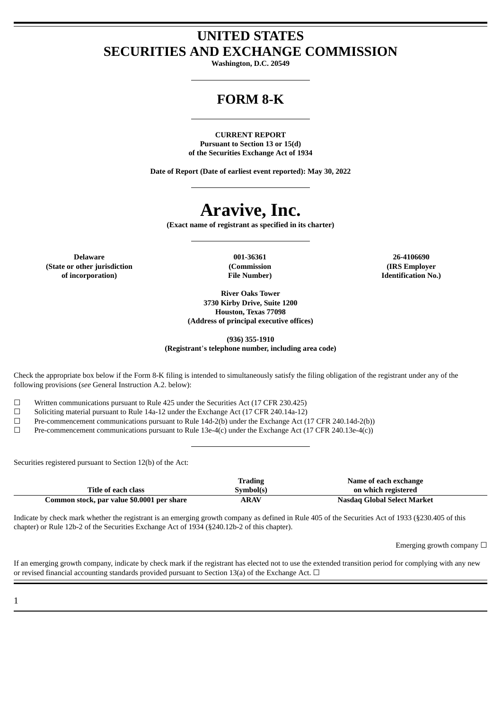# **UNITED STATES SECURITIES AND EXCHANGE COMMISSION**

**Washington, D.C. 20549**

# **FORM 8-K**

**CURRENT REPORT Pursuant to Section 13 or 15(d) of the Securities Exchange Act of 1934**

**Date of Report (Date of earliest event reported): May 30, 2022**

# **Aravive, Inc.**

**(Exact name of registrant as specified in its charter)**

**Delaware 001-36361 26-4106690 (State or other jurisdiction of incorporation)**

**(Commission File Number)**

**(IRS Employer Identification No.)**

**River Oaks Tower 3730 Kirby Drive, Suite 1200 Houston, Texas 77098 (Address of principal executive offices)**

**(936) 355-1910 (Registrant**'**s telephone number, including area code)**

Check the appropriate box below if the Form 8-K filing is intended to simultaneously satisfy the filing obligation of the registrant under any of the following provisions (*see* General Instruction A.2. below):

☐ Written communications pursuant to Rule 425 under the Securities Act (17 CFR 230.425)

 $\Box$  Soliciting material pursuant to Rule 14a-12 under the Exchange Act (17 CFR 240.14a-12)

 $\Box$  Pre-commencement communications pursuant to Rule 14d-2(b) under the Exchange Act (17 CFR 240.14d-2(b))

 $\Box$  Pre-commencement communications pursuant to Rule 13e-4(c) under the Exchange Act (17 CFR 240.13e-4(c))

Securities registered pursuant to Section 12(b) of the Act:

|                                            | Trading     | Name of each exchange       |
|--------------------------------------------|-------------|-----------------------------|
| Title of each class                        | Svmbol(s)   | on which registered         |
| Common stock, par value \$0.0001 per share | <b>ARAV</b> | Nasdag Global Select Market |

Indicate by check mark whether the registrant is an emerging growth company as defined in Rule 405 of the Securities Act of 1933 (§230.405 of this chapter) or Rule 12b-2 of the Securities Exchange Act of 1934 (§240.12b-2 of this chapter).

Emerging growth company  $\Box$ 

If an emerging growth company, indicate by check mark if the registrant has elected not to use the extended transition period for complying with any new or revised financial accounting standards provided pursuant to Section 13(a) of the Exchange Act.  $\Box$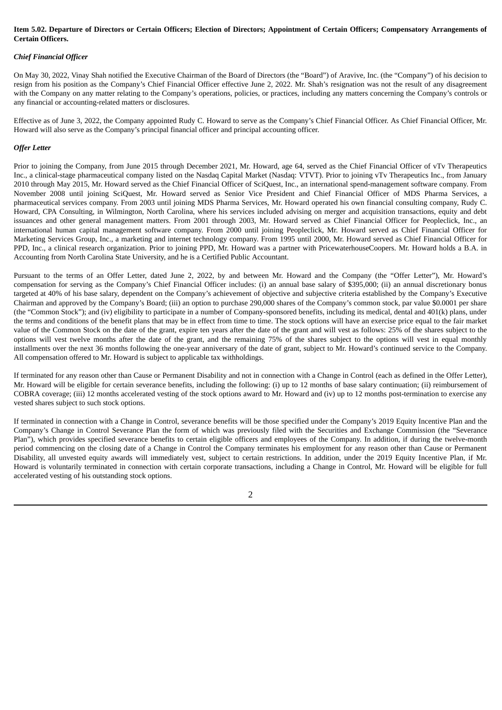#### Item 5.02. Departure of Directors or Certain Officers; Election of Directors; Appointment of Certain Officers; Compensatory Arrangements of **Certain Officers.**

#### *Chief Financial Officer*

On May 30, 2022, Vinay Shah notified the Executive Chairman of the Board of Directors (the "Board") of Aravive, Inc. (the "Company") of his decision to resign from his position as the Company's Chief Financial Officer effective June 2, 2022. Mr. Shah's resignation was not the result of any disagreement with the Company on any matter relating to the Company's operations, policies, or practices, including any matters concerning the Company's controls or any financial or accounting-related matters or disclosures.

Effective as of June 3, 2022, the Company appointed Rudy C. Howard to serve as the Company's Chief Financial Officer. As Chief Financial Officer, Mr. Howard will also serve as the Company's principal financial officer and principal accounting officer.

#### *Offer Letter*

Prior to joining the Company, from June 2015 through December 2021, Mr. Howard, age 64, served as the Chief Financial Officer of vTv Therapeutics Inc., a clinical-stage pharmaceutical company listed on the Nasdaq Capital Market (Nasdaq: VTVT). Prior to joining vTv Therapeutics Inc., from January 2010 through May 2015, Mr. Howard served as the Chief Financial Officer of SciQuest, Inc., an international spend-management software company. From November 2008 until joining SciQuest, Mr. Howard served as Senior Vice President and Chief Financial Officer of MDS Pharma Services, a pharmaceutical services company. From 2003 until joining MDS Pharma Services, Mr. Howard operated his own financial consulting company, Rudy C. Howard, CPA Consulting, in Wilmington, North Carolina, where his services included advising on merger and acquisition transactions, equity and debt issuances and other general management matters. From 2001 through 2003, Mr. Howard served as Chief Financial Officer for Peopleclick, Inc., an international human capital management software company. From 2000 until joining Peopleclick, Mr. Howard served as Chief Financial Officer for Marketing Services Group, Inc., a marketing and internet technology company. From 1995 until 2000, Mr. Howard served as Chief Financial Officer for PPD, Inc., a clinical research organization. Prior to joining PPD, Mr. Howard was a partner with PricewaterhouseCoopers. Mr. Howard holds a B.A. in Accounting from North Carolina State University, and he is a Certified Public Accountant.

Pursuant to the terms of an Offer Letter, dated June 2, 2022, by and between Mr. Howard and the Company (the "Offer Letter"), Mr. Howard's compensation for serving as the Company's Chief Financial Officer includes: (i) an annual base salary of \$395,000; (ii) an annual discretionary bonus targeted at 40% of his base salary, dependent on the Company's achievement of objective and subjective criteria established by the Company's Executive Chairman and approved by the Company's Board; (iii) an option to purchase 290,000 shares of the Company's common stock, par value \$0.0001 per share (the "Common Stock"); and (iv) eligibility to participate in a number of Company-sponsored benefits, including its medical, dental and 401(k) plans, under the terms and conditions of the benefit plans that may be in effect from time to time. The stock options will have an exercise price equal to the fair market value of the Common Stock on the date of the grant, expire ten years after the date of the grant and will vest as follows: 25% of the shares subject to the options will vest twelve months after the date of the grant, and the remaining 75% of the shares subject to the options will vest in equal monthly installments over the next 36 months following the one-year anniversary of the date of grant, subject to Mr. Howard's continued service to the Company. All compensation offered to Mr. Howard is subject to applicable tax withholdings.

If terminated for any reason other than Cause or Permanent Disability and not in connection with a Change in Control (each as defined in the Offer Letter), Mr. Howard will be eligible for certain severance benefits, including the following: (i) up to 12 months of base salary continuation; (ii) reimbursement of COBRA coverage; (iii) 12 months accelerated vesting of the stock options award to Mr. Howard and (iv) up to 12 months post-termination to exercise any vested shares subject to such stock options.

If terminated in connection with a Change in Control, severance benefits will be those specified under the Company's 2019 Equity Incentive Plan and the Company's Change in Control Severance Plan the form of which was previously filed with the Securities and Exchange Commission (the "Severance Plan"), which provides specified severance benefits to certain eligible officers and employees of the Company. In addition, if during the twelve-month period commencing on the closing date of a Change in Control the Company terminates his employment for any reason other than Cause or Permanent Disability, all unvested equity awards will immediately vest, subject to certain restrictions. In addition, under the 2019 Equity Incentive Plan, if Mr. Howard is voluntarily terminated in connection with certain corporate transactions, including a Change in Control, Mr. Howard will be eligible for full accelerated vesting of his outstanding stock options.

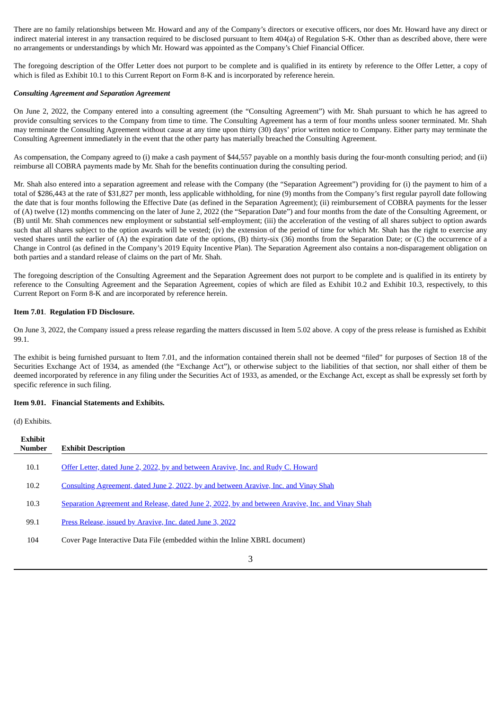There are no family relationships between Mr. Howard and any of the Company's directors or executive officers, nor does Mr. Howard have any direct or indirect material interest in any transaction required to be disclosed pursuant to Item 404(a) of Regulation S-K. Other than as described above, there were no arrangements or understandings by which Mr. Howard was appointed as the Company's Chief Financial Officer.

The foregoing description of the Offer Letter does not purport to be complete and is qualified in its entirety by reference to the Offer Letter, a copy of which is filed as Exhibit 10.1 to this Current Report on Form 8-K and is incorporated by reference herein.

#### *Consulting Agreement and Separation Agreement*

On June 2, 2022, the Company entered into a consulting agreement (the "Consulting Agreement") with Mr. Shah pursuant to which he has agreed to provide consulting services to the Company from time to time. The Consulting Agreement has a term of four months unless sooner terminated. Mr. Shah may terminate the Consulting Agreement without cause at any time upon thirty (30) days' prior written notice to Company. Either party may terminate the Consulting Agreement immediately in the event that the other party has materially breached the Consulting Agreement.

As compensation, the Company agreed to (i) make a cash payment of \$44,557 payable on a monthly basis during the four-month consulting period; and (ii) reimburse all COBRA payments made by Mr. Shah for the benefits continuation during the consulting period.

Mr. Shah also entered into a separation agreement and release with the Company (the "Separation Agreement") providing for (i) the payment to him of a total of \$286,443 at the rate of \$31,827 per month, less applicable withholding, for nine (9) months from the Company's first regular payroll date following the date that is four months following the Effective Date (as defined in the Separation Agreement); (ii) reimbursement of COBRA payments for the lesser of (A) twelve (12) months commencing on the later of June 2, 2022 (the "Separation Date") and four months from the date of the Consulting Agreement, or (B) until Mr. Shah commences new employment or substantial self-employment; (iii) the acceleration of the vesting of all shares subject to option awards such that all shares subject to the option awards will be vested; (iv) the extension of the period of time for which Mr. Shah has the right to exercise any vested shares until the earlier of (A) the expiration date of the options, (B) thirty-six (36) months from the Separation Date; or (C) the occurrence of a Change in Control (as defined in the Company's 2019 Equity Incentive Plan). The Separation Agreement also contains a non-disparagement obligation on both parties and a standard release of claims on the part of Mr. Shah.

The foregoing description of the Consulting Agreement and the Separation Agreement does not purport to be complete and is qualified in its entirety by reference to the Consulting Agreement and the Separation Agreement, copies of which are filed as Exhibit 10.2 and Exhibit 10.3, respectively, to this Current Report on Form 8-K and are incorporated by reference herein.

#### **Item 7.01**. **Regulation FD Disclosure.**

On June 3, 2022, the Company issued a press release regarding the matters discussed in Item 5.02 above. A copy of the press release is furnished as Exhibit 99.1.

The exhibit is being furnished pursuant to Item 7.01, and the information contained therein shall not be deemed "filed" for purposes of Section 18 of the Securities Exchange Act of 1934, as amended (the "Exchange Act"), or otherwise subject to the liabilities of that section, nor shall either of them be deemed incorporated by reference in any filing under the Securities Act of 1933, as amended, or the Exchange Act, except as shall be expressly set forth by specific reference in such filing.

#### **Item 9.01. Financial Statements and Exhibits.**

(d) Exhibits.

| Exhibit<br><b>Number</b> | <b>Exhibit Description</b>                                                                        |
|--------------------------|---------------------------------------------------------------------------------------------------|
| 10.1                     | Offer Letter, dated June 2, 2022, by and between Aravive, Inc. and Rudy C. Howard                 |
| 10.2                     | Consulting Agreement, dated June 2, 2022, by and between Aravive, Inc. and Vinay Shah             |
| 10.3                     | Separation Agreement and Release, dated June 2, 2022, by and between Aravive, Inc. and Vinay Shah |
| 99.1                     | Press Release, issued by Aravive, Inc. dated June 3, 2022                                         |
| 104                      | Cover Page Interactive Data File (embedded within the Inline XBRL document)                       |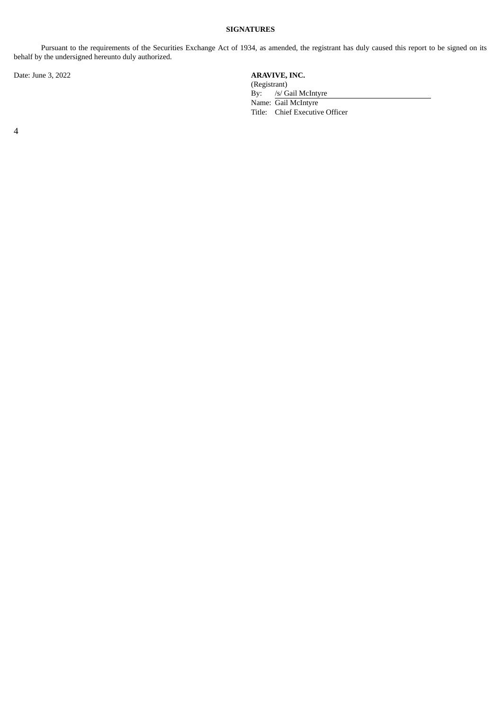# **SIGNATURES**

Pursuant to the requirements of the Securities Exchange Act of 1934, as amended, the registrant has duly caused this report to be signed on its behalf by the undersigned hereunto duly authorized.

Date: June 3, 2022

| <b>ARAVIVE, INC.</b> |                                |  |
|----------------------|--------------------------------|--|
| (Registrant)         |                                |  |
|                      | By: /s/ Gail McIntyre          |  |
|                      | Name: Gail McIntyre            |  |
|                      | Title: Chief Executive Officer |  |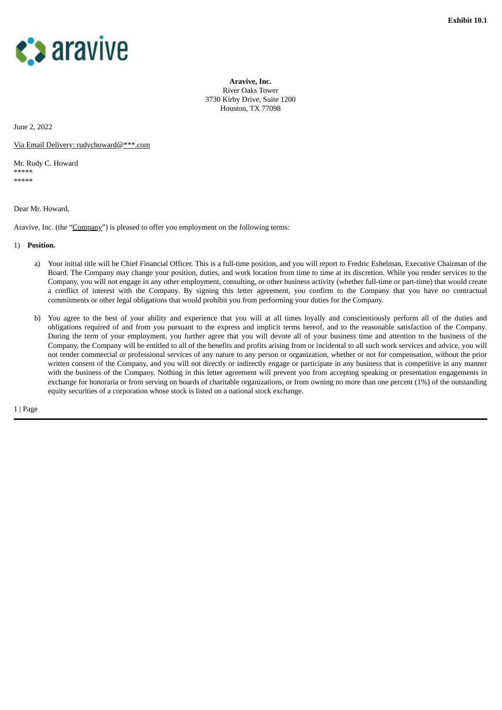<span id="page-4-0"></span>

**Aravive, Inc.** River Oaks Tower 3730 Kirby Drive, Suite 1200 Houston, TX 77098

June 2, 2022

Via Email Delivery: rudychoward@\*\*\*.com

Mr. Rudy C. Howard \*\*\*\*\* \*\*\*\*\*

Dear Mr. Howard,

Aravive, Inc. (the "Company") is pleased to offer you employment on the following terms:

1) **Position.**

- a) Your initial title will be Chief Financial Officer. This is a full-time position, and you will report to Fredric Eshelman, Executive Chairman of the Board. The Company may change your position, duties, and work location from time to time at its discretion. While you render services to the Company, you will not engage in any other employment, consulting, or other business activity (whether full-time or part-time) that would create a conflict of interest with the Company. By signing this letter agreement, you confirm to the Company that you have no contractual commitments or other legal obligations that would prohibit you from performing your duties for the Company.
- b) You agree to the best of your ability and experience that you will at all times loyally and conscientiously perform all of the duties and obligations required of and from you pursuant to the express and implicit terms hereof, and to the reasonable satisfaction of the Company. During the term of your employment, you further agree that you will devote all of your business time and attention to the business of the Company, the Company will be entitled to all of the benefits and profits arising from or incidental to all such work services and advice, you will not render commercial or professional services of any nature to any person or organization, whether or not for compensation, without the prior written consent of the Company, and you will not directly or indirectly engage or participate in any business that is competitive in any manner with the business of the Company. Nothing in this letter agreement will prevent you from accepting speaking or presentation engagements in exchange for honoraria or from serving on boards of charitable organizations, or from owning no more than one percent (1%) of the outstanding equity securities of a corporation whose stock is listed on a national stock exchange.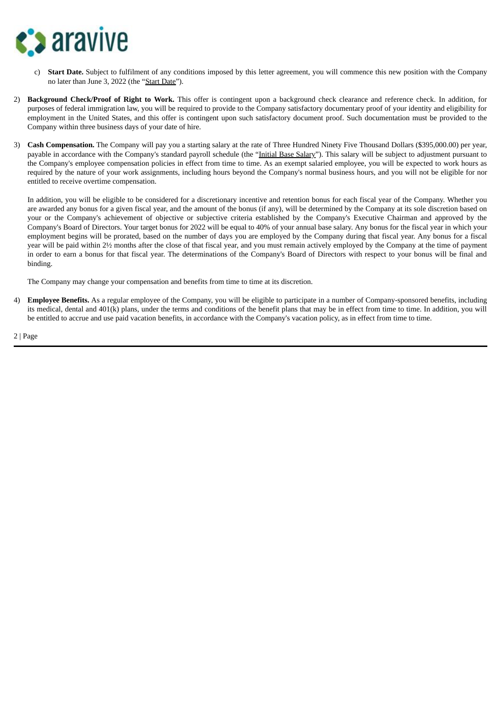

- c) **Start Date.** Subject to fulfilment of any conditions imposed by this letter agreement, you will commence this new position with the Company no later than June 3, 2022 (the "Start Date").
- 2) **Background Check/Proof of Right to Work.** This offer is contingent upon a background check clearance and reference check. In addition, for purposes of federal immigration law, you will be required to provide to the Company satisfactory documentary proof of your identity and eligibility for employment in the United States, and this offer is contingent upon such satisfactory document proof. Such documentation must be provided to the Company within three business days of your date of hire.
- 3) **Cash Compensation.** The Company will pay you a starting salary at the rate of Three Hundred Ninety Five Thousand Dollars (\$395,000.00) per year, payable in accordance with the Company's standard payroll schedule (the "Initial Base Salary"). This salary will be subject to adjustment pursuant to the Company's employee compensation policies in effect from time to time. As an exempt salaried employee, you will be expected to work hours as required by the nature of your work assignments, including hours beyond the Company's normal business hours, and you will not be eligible for nor entitled to receive overtime compensation.

In addition, you will be eligible to be considered for a discretionary incentive and retention bonus for each fiscal year of the Company. Whether you are awarded any bonus for a given fiscal year, and the amount of the bonus (if any), will be determined by the Company at its sole discretion based on your or the Company's achievement of objective or subjective criteria established by the Company's Executive Chairman and approved by the Company's Board of Directors. Your target bonus for 2022 will be equal to 40% of your annual base salary. Any bonus for the fiscal year in which your employment begins will be prorated, based on the number of days you are employed by the Company during that fiscal year. Any bonus for a fiscal year will be paid within 2½ months after the close of that fiscal year, and you must remain actively employed by the Company at the time of payment in order to earn a bonus for that fiscal year. The determinations of the Company's Board of Directors with respect to your bonus will be final and binding.

The Company may change your compensation and benefits from time to time at its discretion.

4) **Employee Benefits.** As a regular employee of the Company, you will be eligible to participate in a number of Company-sponsored benefits, including its medical, dental and 401(k) plans, under the terms and conditions of the benefit plans that may be in effect from time to time. In addition, you will be entitled to accrue and use paid vacation benefits, in accordance with the Company's vacation policy, as in effect from time to time.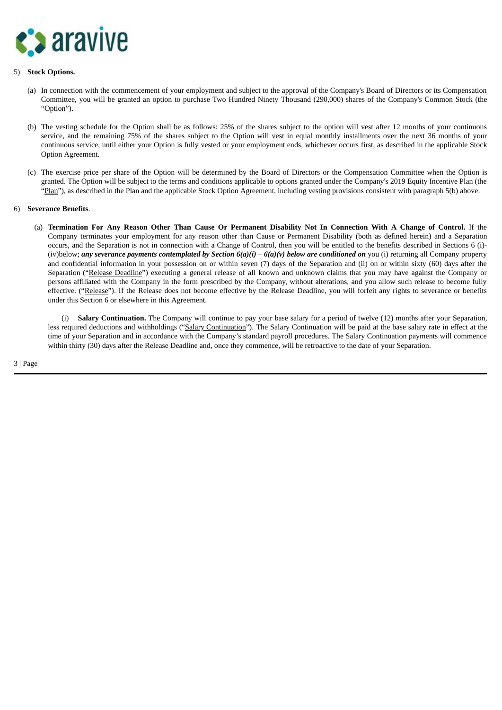

#### 5) **Stock Options.**

- (a) In connection with the commencement of your employment and subject to the approval of the Company's Board of Directors or its Compensation Committee, you will be granted an option to purchase Two Hundred Ninety Thousand (290,000) shares of the Company's Common Stock (the "Option").
- (b) The vesting schedule for the Option shall be as follows: 25% of the shares subject to the option will vest after 12 months of your continuous service, and the remaining 75% of the shares subject to the Option will vest in equal monthly installments over the next 36 months of your continuous service, until either your Option is fully vested or your employment ends, whichever occurs first, as described in the applicable Stock Option Agreement.
- (c) The exercise price per share of the Option will be determined by the Board of Directors or the Compensation Committee when the Option is granted. The Option will be subject to the terms and conditions applicable to options granted under the Company's 2019 Equity Incentive Plan (the "Plan"), as described in the Plan and the applicable Stock Option Agreement, including vesting provisions consistent with paragraph 5(b) above.

#### 6) **Severance Benefits**.

(a) Termination For Any Reason Other Than Cause Or Permanent Disability Not In Connection With A Change of Control. If the Company terminates your employment for any reason other than Cause or Permanent Disability (both as defined herein) and a Separation occurs, and the Separation is not in connection with a Change of Control, then you will be entitled to the benefits described in Sections 6 (i)- (iv)below; *any* severance payments contemplated by Section  $6(a)(i) - 6(a)(v)$  below are conditioned on you (i) returning all Company property and confidential information in your possession on or within seven (7) days of the Separation and (ii) on or within sixty (60) days after the Separation ("Release Deadline") executing a general release of all known and unknown claims that you may have against the Company or persons affiliated with the Company in the form prescribed by the Company, without alterations, and you allow such release to become fully effective. ("Release"). If the Release does not become effective by the Release Deadline, you will forfeit any rights to severance or benefits under this Section 6 or elsewhere in this Agreement.

(i) **Salary Continuation.** The Company will continue to pay your base salary for a period of twelve (12) months after your Separation, less required deductions and withholdings ("Salary Continuation"). The Salary Continuation will be paid at the base salary rate in effect at the time of your Separation and in accordance with the Company's standard payroll procedures. The Salary Continuation payments will commence within thirty (30) days after the Release Deadline and, once they commence, will be retroactive to the date of your Separation.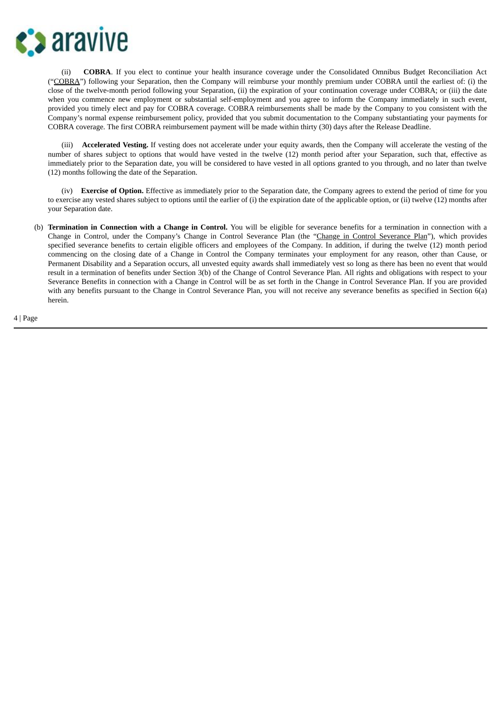

(ii) **COBRA**. If you elect to continue your health insurance coverage under the Consolidated Omnibus Budget Reconciliation Act ("COBRA") following your Separation, then the Company will reimburse your monthly premium under COBRA until the earliest of: (i) the close of the twelve-month period following your Separation, (ii) the expiration of your continuation coverage under COBRA; or (iii) the date when you commence new employment or substantial self-employment and you agree to inform the Company immediately in such event, provided you timely elect and pay for COBRA coverage. COBRA reimbursements shall be made by the Company to you consistent with the Company's normal expense reimbursement policy, provided that you submit documentation to the Company substantiating your payments for COBRA coverage. The first COBRA reimbursement payment will be made within thirty (30) days after the Release Deadline.

(iii) **Accelerated Vesting.** If vesting does not accelerate under your equity awards, then the Company will accelerate the vesting of the number of shares subject to options that would have vested in the twelve (12) month period after your Separation, such that, effective as immediately prior to the Separation date, you will be considered to have vested in all options granted to you through, and no later than twelve (12) months following the date of the Separation.

(iv) **Exercise of Option.** Effective as immediately prior to the Separation date, the Company agrees to extend the period of time for you to exercise any vested shares subject to options until the earlier of (i) the expiration date of the applicable option, or (ii) twelve (12) months after your Separation date.

(b) **Termination in Connection with a Change in Control.** You will be eligible for severance benefits for a termination in connection with a Change in Control, under the Company's Change in Control Severance Plan (the "Change in Control Severance Plan"), which provides specified severance benefits to certain eligible officers and employees of the Company. In addition, if during the twelve (12) month period commencing on the closing date of a Change in Control the Company terminates your employment for any reason, other than Cause, or Permanent Disability and a Separation occurs, all unvested equity awards shall immediately vest so long as there has been no event that would result in a termination of benefits under Section 3(b) of the Change of Control Severance Plan. All rights and obligations with respect to your Severance Benefits in connection with a Change in Control will be as set forth in the Change in Control Severance Plan. If you are provided with any benefits pursuant to the Change in Control Severance Plan, you will not receive any severance benefits as specified in Section 6(a) herein.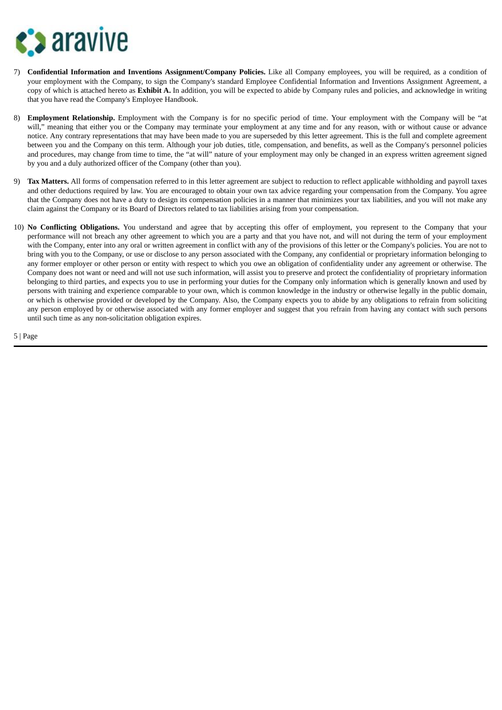

- 7) **Confidential Information and Inventions Assignment/Company Policies.** Like all Company employees, you will be required, as a condition of your employment with the Company, to sign the Company's standard Employee Confidential Information and Inventions Assignment Agreement, a copy of which is attached hereto as **Exhibit A.** In addition, you will be expected to abide by Company rules and policies, and acknowledge in writing that you have read the Company's Employee Handbook.
- 8) **Employment Relationship.** Employment with the Company is for no specific period of time. Your employment with the Company will be "at will," meaning that either you or the Company may terminate your employment at any time and for any reason, with or without cause or advance notice. Any contrary representations that may have been made to you are superseded by this letter agreement. This is the full and complete agreement between you and the Company on this term. Although your job duties, title, compensation, and benefits, as well as the Company's personnel policies and procedures, may change from time to time, the "at will" nature of your employment may only be changed in an express written agreement signed by you and a duly authorized officer of the Company (other than you).
- 9) **Tax Matters.** All forms of compensation referred to in this letter agreement are subject to reduction to reflect applicable withholding and payroll taxes and other deductions required by law. You are encouraged to obtain your own tax advice regarding your compensation from the Company. You agree that the Company does not have a duty to design its compensation policies in a manner that minimizes your tax liabilities, and you will not make any claim against the Company or its Board of Directors related to tax liabilities arising from your compensation.
- 10) **No Conflicting Obligations.** You understand and agree that by accepting this offer of employment, you represent to the Company that your performance will not breach any other agreement to which you are a party and that you have not, and will not during the term of your employment with the Company, enter into any oral or written agreement in conflict with any of the provisions of this letter or the Company's policies. You are not to bring with you to the Company, or use or disclose to any person associated with the Company, any confidential or proprietary information belonging to any former employer or other person or entity with respect to which you owe an obligation of confidentiality under any agreement or otherwise. The Company does not want or need and will not use such information, will assist you to preserve and protect the confidentiality of proprietary information belonging to third parties, and expects you to use in performing your duties for the Company only information which is generally known and used by persons with training and experience comparable to your own, which is common knowledge in the industry or otherwise legally in the public domain, or which is otherwise provided or developed by the Company. Also, the Company expects you to abide by any obligations to refrain from soliciting any person employed by or otherwise associated with any former employer and suggest that you refrain from having any contact with such persons until such time as any non-solicitation obligation expires.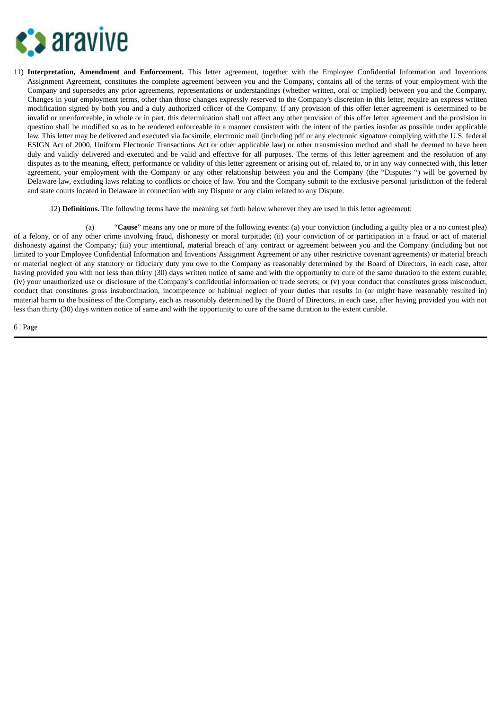

- 11) **Interpretation, Amendment and Enforcement.** This letter agreement, together with the Employee Confidential Information and Inventions Assignment Agreement, constitutes the complete agreement between you and the Company, contains all of the terms of your employment with the Company and supersedes any prior agreements, representations or understandings (whether written, oral or implied) between you and the Company. Changes in your employment terms, other than those changes expressly reserved to the Company's discretion in this letter, require an express written modification signed by both you and a duly authorized officer of the Company. If any provision of this offer letter agreement is determined to be invalid or unenforceable, in whole or in part, this determination shall not affect any other provision of this offer letter agreement and the provision in question shall be modified so as to be rendered enforceable in a manner consistent with the intent of the parties insofar as possible under applicable law. This letter may be delivered and executed via facsimile, electronic mail (including pdf or any electronic signature complying with the U.S. federal ESIGN Act of 2000, Uniform Electronic Transactions Act or other applicable law) or other transmission method and shall be deemed to have been duly and validly delivered and executed and be valid and effective for all purposes. The terms of this letter agreement and the resolution of any disputes as to the meaning, effect, performance or validity of this letter agreement or arising out of, related to, or in any way connected with, this letter agreement, your employment with the Company or any other relationship between you and the Company (the "Disputes ") will be governed by Delaware law, excluding laws relating to conflicts or choice of law. You and the Company submit to the exclusive personal jurisdiction of the federal and state courts located in Delaware in connection with any Dispute or any claim related to any Dispute.
	- 12) **Definitions.** The following terms have the meaning set forth below wherever they are used in this letter agreement:

(a) "**Cause**" means any one or more of the following events: (a) your conviction (including a guilty plea or a no contest plea) of a felony, or of any other crime involving fraud, dishonesty or moral turpitude; (ii) your conviction of or participation in a fraud or act of material dishonesty against the Company; (iii) your intentional, material breach of any contract or agreement between you and the Company (including but not limited to your Employee Confidential Information and Inventions Assignment Agreement or any other restrictive covenant agreements) or material breach or material neglect of any statutory or fiduciary duty you owe to the Company as reasonably determined by the Board of Directors, in each case, after having provided you with not less than thirty (30) days written notice of same and with the opportunity to cure of the same duration to the extent curable; (iv) your unauthorized use or disclosure of the Company's confidential information or trade secrets; or (v) your conduct that constitutes gross misconduct, conduct that constitutes gross insubordination, incompetence or habitual neglect of your duties that results in (or might have reasonably resulted in) material harm to the business of the Company, each as reasonably determined by the Board of Directors, in each case, after having provided you with not less than thirty (30) days written notice of same and with the opportunity to cure of the same duration to the extent curable.

```
6 | Page
```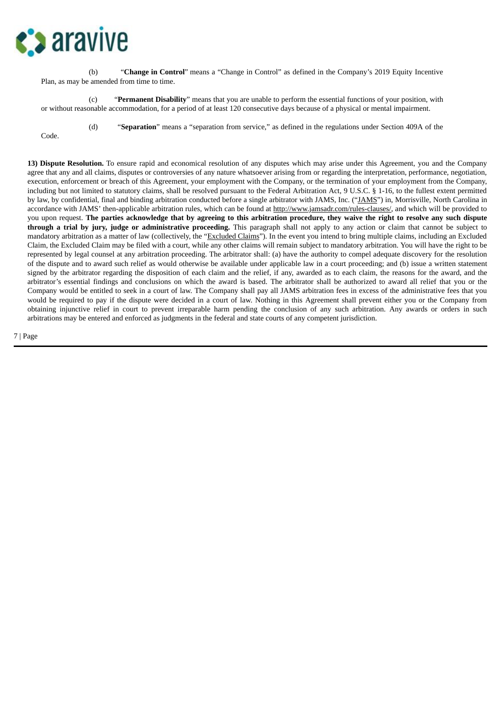

(b) "**Change in Control**" means a "Change in Control" as defined in the Company's 2019 Equity Incentive Plan, as may be amended from time to time.

(c) "**Permanent Disability**" means that you are unable to perform the essential functions of your position, with or without reasonable accommodation, for a period of at least 120 consecutive days because of a physical or mental impairment.

(d) "**Separation**" means a "separation from service," as defined in the regulations under Section 409A of the

Code.

**13) Dispute Resolution.** To ensure rapid and economical resolution of any disputes which may arise under this Agreement, you and the Company agree that any and all claims, disputes or controversies of any nature whatsoever arising from or regarding the interpretation, performance, negotiation, execution, enforcement or breach of this Agreement, your employment with the Company, or the termination of your employment from the Company, including but not limited to statutory claims, shall be resolved pursuant to the Federal Arbitration Act, 9 U.S.C. § 1-16, to the fullest extent permitted by law, by confidential, final and binding arbitration conducted before a single arbitrator with JAMS, Inc. ("JAMS") in, Morrisville, North Carolina in accordance with JAMS' then-applicable arbitration rules, which can be found at http://www.jamsadr.com/rules-clauses/, and which will be provided to you upon request. The parties acknowledge that by agreeing to this arbitration procedure, they waive the right to resolve any such dispute **through a trial by jury, judge or administrative proceeding.** This paragraph shall not apply to any action or claim that cannot be subject to mandatory arbitration as a matter of law (collectively, the "Excluded Claims"). In the event you intend to bring multiple claims, including an Excluded Claim, the Excluded Claim may be filed with a court, while any other claims will remain subject to mandatory arbitration. You will have the right to be represented by legal counsel at any arbitration proceeding. The arbitrator shall: (a) have the authority to compel adequate discovery for the resolution of the dispute and to award such relief as would otherwise be available under applicable law in a court proceeding; and (b) issue a written statement signed by the arbitrator regarding the disposition of each claim and the relief, if any, awarded as to each claim, the reasons for the award, and the arbitrator's essential findings and conclusions on which the award is based. The arbitrator shall be authorized to award all relief that you or the Company would be entitled to seek in a court of law. The Company shall pay all JAMS arbitration fees in excess of the administrative fees that you would be required to pay if the dispute were decided in a court of law. Nothing in this Agreement shall prevent either you or the Company from obtaining injunctive relief in court to prevent irreparable harm pending the conclusion of any such arbitration. Any awards or orders in such arbitrations may be entered and enforced as judgments in the federal and state courts of any competent jurisdiction.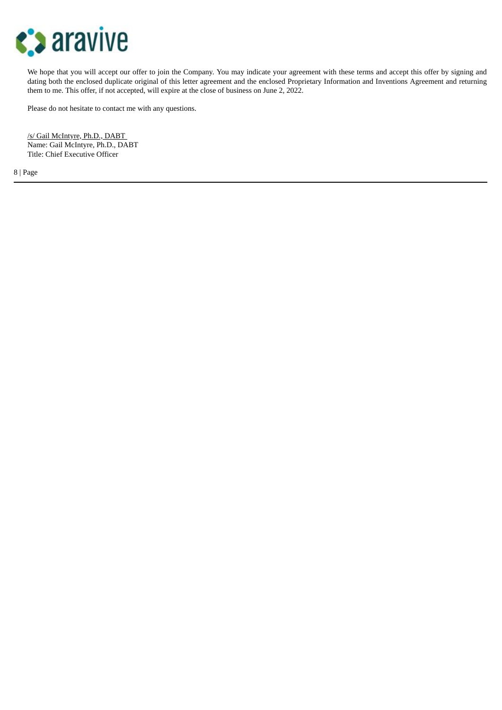

We hope that you will accept our offer to join the Company. You may indicate your agreement with these terms and accept this offer by signing and dating both the enclosed duplicate original of this letter agreement and the enclosed Proprietary Information and Inventions Agreement and returning them to me. This offer, if not accepted, will expire at the close of business on June 2, 2022.

Please do not hesitate to contact me with any questions.

/s/ Gail McIntyre, Ph.D., DABT Name: Gail McIntyre, Ph.D., DABT Title: Chief Executive Officer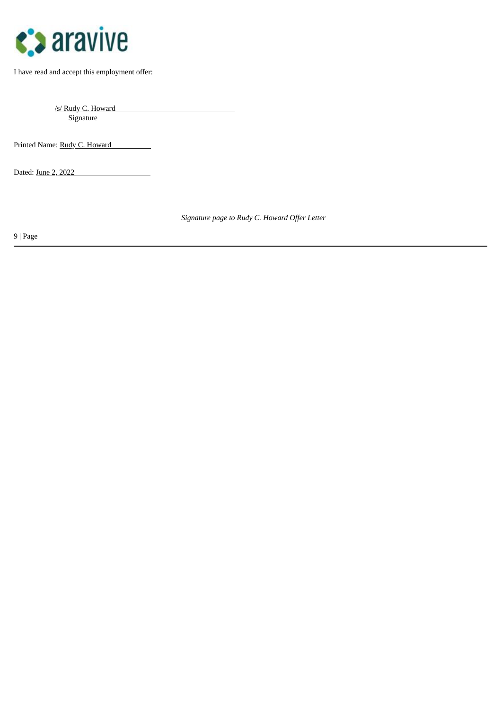

I have read and accept this employment offer:

/s/ Rudy C. Howard Signature

Printed Name: Rudy C. Howard

Dated: June 2, 2022

*Signature page to Rudy C. Howard Offer Letter*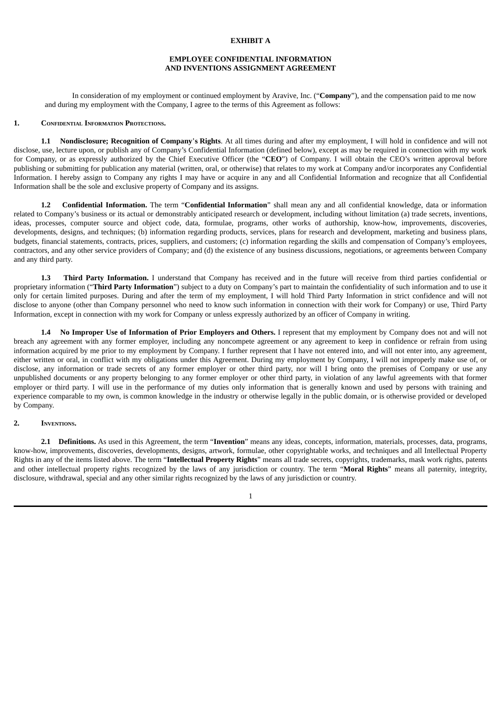#### **EXHIBIT A**

#### **EMPLOYEE CONFIDENTIAL INFORMATION AND INVENTIONS ASSIGNMENT AGREEMENT**

In consideration of my employment or continued employment by Aravive, Inc. ("**Company**"), and the compensation paid to me now and during my employment with the Company, I agree to the terms of this Agreement as follows:

#### **1. CONFIDENTIAL INFORMATION PROTECTIONS.**

**1.1 Nondisclosure; Recognition of Company**'**s Rights**. At all times during and after my employment, I will hold in confidence and will not disclose, use, lecture upon, or publish any of Company's Confidential Information (defined below), except as may be required in connection with my work for Company, or as expressly authorized by the Chief Executive Officer (the "**CEO**") of Company. I will obtain the CEO's written approval before publishing or submitting for publication any material (written, oral, or otherwise) that relates to my work at Company and/or incorporates any Confidential Information. I hereby assign to Company any rights I may have or acquire in any and all Confidential Information and recognize that all Confidential Information shall be the sole and exclusive property of Company and its assigns.

**1.2 Confidential Information.** The term "**Confidential Information**" shall mean any and all confidential knowledge, data or information related to Company's business or its actual or demonstrably anticipated research or development, including without limitation (a) trade secrets, inventions, ideas, processes, computer source and object code, data, formulae, programs, other works of authorship, know-how, improvements, discoveries, developments, designs, and techniques; (b) information regarding products, services, plans for research and development, marketing and business plans, budgets, financial statements, contracts, prices, suppliers, and customers; (c) information regarding the skills and compensation of Company's employees, contractors, and any other service providers of Company; and (d) the existence of any business discussions, negotiations, or agreements between Company and any third party.

**1.3 Third Party Information.** I understand that Company has received and in the future will receive from third parties confidential or proprietary information ("**Third Party Information**") subject to a duty on Company's part to maintain the confidentiality of such information and to use it only for certain limited purposes. During and after the term of my employment, I will hold Third Party Information in strict confidence and will not disclose to anyone (other than Company personnel who need to know such information in connection with their work for Company) or use, Third Party Information, except in connection with my work for Company or unless expressly authorized by an officer of Company in writing.

**1.4 No Improper Use of Information of Prior Employers and Others.** I represent that my employment by Company does not and will not breach any agreement with any former employer, including any noncompete agreement or any agreement to keep in confidence or refrain from using information acquired by me prior to my employment by Company. I further represent that I have not entered into, and will not enter into, any agreement, either written or oral, in conflict with my obligations under this Agreement. During my employment by Company, I will not improperly make use of, or disclose, any information or trade secrets of any former employer or other third party, nor will I bring onto the premises of Company or use any unpublished documents or any property belonging to any former employer or other third party, in violation of any lawful agreements with that former employer or third party. I will use in the performance of my duties only information that is generally known and used by persons with training and experience comparable to my own, is common knowledge in the industry or otherwise legally in the public domain, or is otherwise provided or developed by Company.

#### **2. INVENTIONS.**

**2.1 Definitions.** As used in this Agreement, the term "**Invention**" means any ideas, concepts, information, materials, processes, data, programs, know-how, improvements, discoveries, developments, designs, artwork, formulae, other copyrightable works, and techniques and all Intellectual Property Rights in any of the items listed above. The term "**Intellectual Property Rights**" means all trade secrets, copyrights, trademarks, mask work rights, patents and other intellectual property rights recognized by the laws of any jurisdiction or country. The term "**Moral Rights**" means all paternity, integrity, disclosure, withdrawal, special and any other similar rights recognized by the laws of any jurisdiction or country.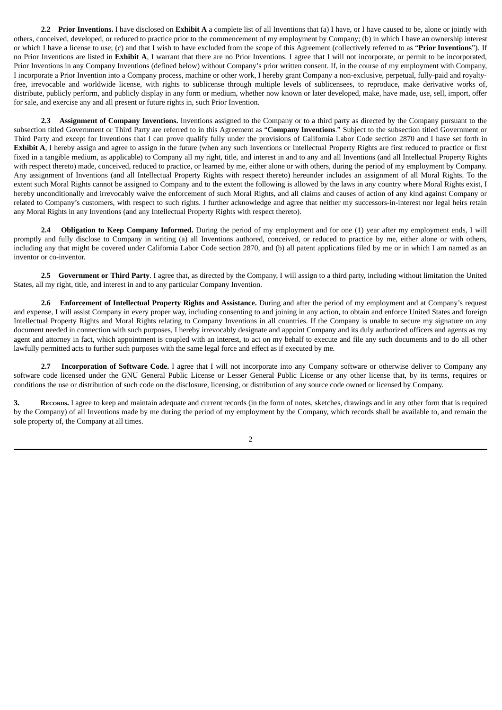**2.2 Prior Inventions.** I have disclosed on **Exhibit A** a complete list of all Inventions that (a) I have, or I have caused to be, alone or jointly with others, conceived, developed, or reduced to practice prior to the commencement of my employment by Company; (b) in which I have an ownership interest or which I have a license to use; (c) and that I wish to have excluded from the scope of this Agreement (collectively referred to as "**Prior Inventions**"). If no Prior Inventions are listed in **Exhibit A**, I warrant that there are no Prior Inventions. I agree that I will not incorporate, or permit to be incorporated, Prior Inventions in any Company Inventions (defined below) without Company's prior written consent. If, in the course of my employment with Company, I incorporate a Prior Invention into a Company process, machine or other work, I hereby grant Company a non-exclusive, perpetual, fully-paid and royaltyfree, irrevocable and worldwide license, with rights to sublicense through multiple levels of sublicensees, to reproduce, make derivative works of, distribute, publicly perform, and publicly display in any form or medium, whether now known or later developed, make, have made, use, sell, import, offer for sale, and exercise any and all present or future rights in, such Prior Invention.

**2.3 Assignment of Company Inventions.** Inventions assigned to the Company or to a third party as directed by the Company pursuant to the subsection titled Government or Third Party are referred to in this Agreement as "**Company Inventions**." Subject to the subsection titled Government or Third Party and except for Inventions that I can prove qualify fully under the provisions of California Labor Code section 2870 and I have set forth in **Exhibit A**, I hereby assign and agree to assign in the future (when any such Inventions or Intellectual Property Rights are first reduced to practice or first fixed in a tangible medium, as applicable) to Company all my right, title, and interest in and to any and all Inventions (and all Intellectual Property Rights with respect thereto) made, conceived, reduced to practice, or learned by me, either alone or with others, during the period of my employment by Company. Any assignment of Inventions (and all Intellectual Property Rights with respect thereto) hereunder includes an assignment of all Moral Rights. To the extent such Moral Rights cannot be assigned to Company and to the extent the following is allowed by the laws in any country where Moral Rights exist, I hereby unconditionally and irrevocably waive the enforcement of such Moral Rights, and all claims and causes of action of any kind against Company or related to Company's customers, with respect to such rights. I further acknowledge and agree that neither my successors-in-interest nor legal heirs retain any Moral Rights in any Inventions (and any Intellectual Property Rights with respect thereto).

**2.4 Obligation to Keep Company Informed.** During the period of my employment and for one (1) year after my employment ends, I will promptly and fully disclose to Company in writing (a) all Inventions authored, conceived, or reduced to practice by me, either alone or with others, including any that might be covered under California Labor Code section 2870, and (b) all patent applications filed by me or in which I am named as an inventor or co-inventor.

**2.5 Government or Third Party**. I agree that, as directed by the Company, I will assign to a third party, including without limitation the United States, all my right, title, and interest in and to any particular Company Invention.

**2.6 Enforcement of Intellectual Property Rights and Assistance.** During and after the period of my employment and at Company's request and expense, I will assist Company in every proper way, including consenting to and joining in any action, to obtain and enforce United States and foreign Intellectual Property Rights and Moral Rights relating to Company Inventions in all countries. If the Company is unable to secure my signature on any document needed in connection with such purposes, I hereby irrevocably designate and appoint Company and its duly authorized officers and agents as my agent and attorney in fact, which appointment is coupled with an interest, to act on my behalf to execute and file any such documents and to do all other lawfully permitted acts to further such purposes with the same legal force and effect as if executed by me.

**2.7 Incorporation of Software Code.** I agree that I will not incorporate into any Company software or otherwise deliver to Company any software code licensed under the GNU General Public License or Lesser General Public License or any other license that, by its terms, requires or conditions the use or distribution of such code on the disclosure, licensing, or distribution of any source code owned or licensed by Company.

**3. RECORDS.** I agree to keep and maintain adequate and current records (in the form of notes, sketches, drawings and in any other form that is required by the Company) of all Inventions made by me during the period of my employment by the Company, which records shall be available to, and remain the sole property of, the Company at all times.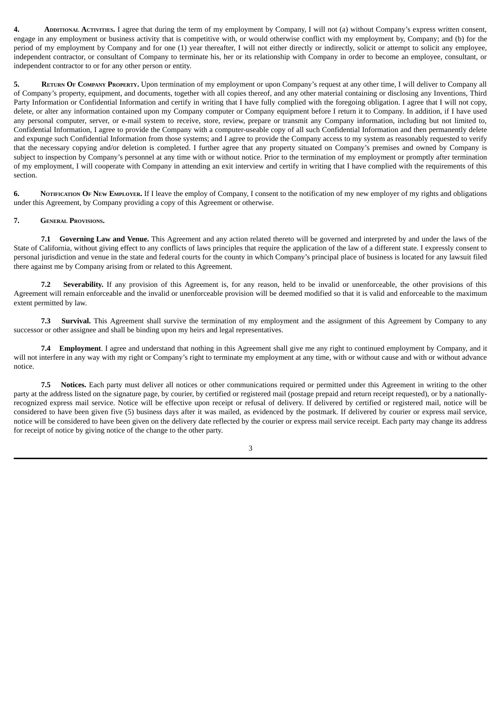**4. ADDITIONAL ACTIVITIES.** I agree that during the term of my employment by Company, I will not (a) without Company's express written consent, engage in any employment or business activity that is competitive with, or would otherwise conflict with my employment by, Company; and (b) for the period of my employment by Company and for one (1) year thereafter, I will not either directly or indirectly, solicit or attempt to solicit any employee, independent contractor, or consultant of Company to terminate his, her or its relationship with Company in order to become an employee, consultant, or independent contractor to or for any other person or entity.

**5. RETURN O<sup>F</sup> COMPANY PROPERTY.** Upon termination of my employment or upon Company's request at any other time, I will deliver to Company all of Company's property, equipment, and documents, together with all copies thereof, and any other material containing or disclosing any Inventions, Third Party Information or Confidential Information and certify in writing that I have fully complied with the foregoing obligation. I agree that I will not copy, delete, or alter any information contained upon my Company computer or Company equipment before I return it to Company. In addition, if I have used any personal computer, server, or e-mail system to receive, store, review, prepare or transmit any Company information, including but not limited to, Confidential Information, I agree to provide the Company with a computer-useable copy of all such Confidential Information and then permanently delete and expunge such Confidential Information from those systems; and I agree to provide the Company access to my system as reasonably requested to verify that the necessary copying and/or deletion is completed. I further agree that any property situated on Company's premises and owned by Company is subject to inspection by Company's personnel at any time with or without notice. Prior to the termination of my employment or promptly after termination of my employment, I will cooperate with Company in attending an exit interview and certify in writing that I have complied with the requirements of this section.

**6. NOTIFICATION OF NEW EMPLOYER.** If I leave the employ of Company, I consent to the notification of my new employer of my rights and obligations under this Agreement, by Company providing a copy of this Agreement or otherwise.

#### **7. GENERAL PROVISIONS.**

**7.1 Governing Law and Venue.** This Agreement and any action related thereto will be governed and interpreted by and under the laws of the State of California, without giving effect to any conflicts of laws principles that require the application of the law of a different state. I expressly consent to personal jurisdiction and venue in the state and federal courts for the county in which Company's principal place of business is located for any lawsuit filed there against me by Company arising from or related to this Agreement.

**7.2 Severability.** If any provision of this Agreement is, for any reason, held to be invalid or unenforceable, the other provisions of this Agreement will remain enforceable and the invalid or unenforceable provision will be deemed modified so that it is valid and enforceable to the maximum extent permitted by law.

**7.3 Survival.** This Agreement shall survive the termination of my employment and the assignment of this Agreement by Company to any successor or other assignee and shall be binding upon my heirs and legal representatives.

**7.4 Employment**. I agree and understand that nothing in this Agreement shall give me any right to continued employment by Company, and it will not interfere in any way with my right or Company's right to terminate my employment at any time, with or without cause and with or without advance notice.

**7.5 Notices.** Each party must deliver all notices or other communications required or permitted under this Agreement in writing to the other party at the address listed on the signature page, by courier, by certified or registered mail (postage prepaid and return receipt requested), or by a nationallyrecognized express mail service. Notice will be effective upon receipt or refusal of delivery. If delivered by certified or registered mail, notice will be considered to have been given five (5) business days after it was mailed, as evidenced by the postmark. If delivered by courier or express mail service, notice will be considered to have been given on the delivery date reflected by the courier or express mail service receipt. Each party may change its address for receipt of notice by giving notice of the change to the other party.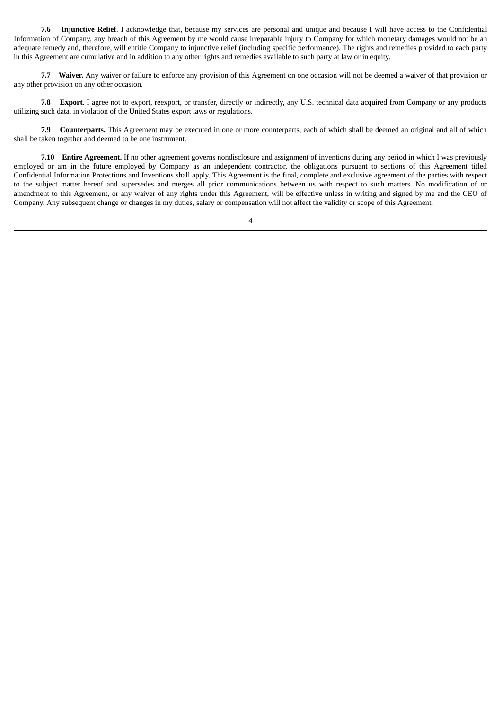**7.6 Injunctive Relief**. I acknowledge that, because my services are personal and unique and because I will have access to the Confidential Information of Company, any breach of this Agreement by me would cause irreparable injury to Company for which monetary damages would not be an adequate remedy and, therefore, will entitle Company to injunctive relief (including specific performance). The rights and remedies provided to each party in this Agreement are cumulative and in addition to any other rights and remedies available to such party at law or in equity.

**7.7 Waiver.** Any waiver or failure to enforce any provision of this Agreement on one occasion will not be deemed a waiver of that provision or any other provision on any other occasion.

**7.8 Export**. I agree not to export, reexport, or transfer, directly or indirectly, any U.S. technical data acquired from Company or any products utilizing such data, in violation of the United States export laws or regulations.

**7.9 Counterparts.** This Agreement may be executed in one or more counterparts, each of which shall be deemed an original and all of which shall be taken together and deemed to be one instrument.

**7.10 Entire Agreement.** If no other agreement governs nondisclosure and assignment of inventions during any period in which I was previously employed or am in the future employed by Company as an independent contractor, the obligations pursuant to sections of this Agreement titled Confidential Information Protections and Inventions shall apply. This Agreement is the final, complete and exclusive agreement of the parties with respect to the subject matter hereof and supersedes and merges all prior communications between us with respect to such matters. No modification of or amendment to this Agreement, or any waiver of any rights under this Agreement, will be effective unless in writing and signed by me and the CEO of Company. Any subsequent change or changes in my duties, salary or compensation will not affect the validity or scope of this Agreement.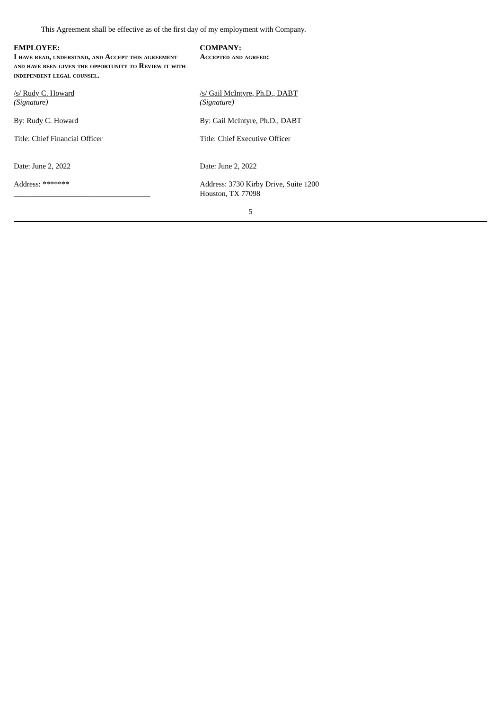This Agreement shall be effective as of the first day of my employment with Company.

| <b>EMPLOYEE:</b><br>I HAVE READ, UNDERSTAND, AND ACCEPT THIS AGREEMENT<br>AND HAVE BEEN GIVEN THE OPPORTUNITY TO REVIEW IT WITH<br>INDEPENDENT LEGAL COUNSEL. | <b>COMPANY:</b><br><b>ACCEPTED AND AGREED:</b>             |
|---------------------------------------------------------------------------------------------------------------------------------------------------------------|------------------------------------------------------------|
| /s/ Rudy C. Howard<br>(Signature)                                                                                                                             | /s/ Gail McIntyre, Ph.D., DABT<br>(Signature)              |
| By: Rudy C. Howard                                                                                                                                            | By: Gail McIntyre, Ph.D., DABT                             |
| Title: Chief Financial Officer                                                                                                                                | Title: Chief Executive Officer                             |
| Date: June 2, 2022                                                                                                                                            | Date: June 2, 2022                                         |
| Address: *******                                                                                                                                              | Address: 3730 Kirby Drive, Suite 1200<br>Houston, TX 77098 |
|                                                                                                                                                               | 5                                                          |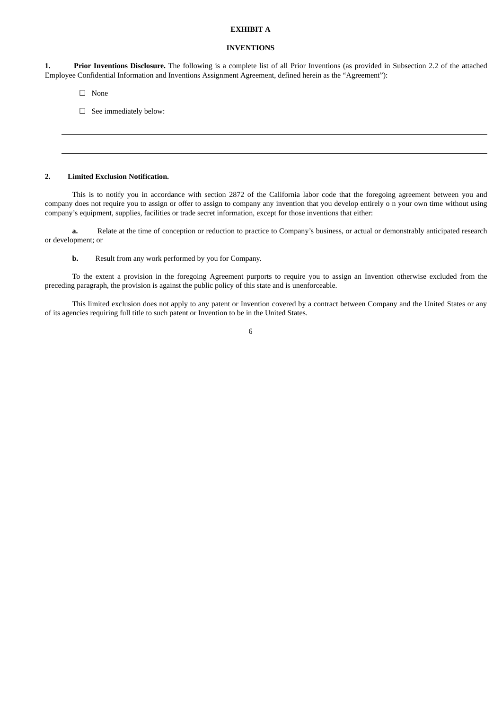#### **EXHIBIT A**

#### **INVENTIONS**

**1. Prior Inventions Disclosure.** The following is a complete list of all Prior Inventions (as provided in Subsection 2.2 of the attached Employee Confidential Information and Inventions Assignment Agreement, defined herein as the "Agreement"):

☐ None

☐ See immediately below:

#### **2. Limited Exclusion Notification.**

This is to notify you in accordance with section 2872 of the California labor code that the foregoing agreement between you and company does not require you to assign or offer to assign to company any invention that you develop entirely o n your own time without using company's equipment, supplies, facilities or trade secret information, except for those inventions that either:

**a.** Relate at the time of conception or reduction to practice to Company's business, or actual or demonstrably anticipated research or development; or

**b.** Result from any work performed by you for Company.

To the extent a provision in the foregoing Agreement purports to require you to assign an Invention otherwise excluded from the preceding paragraph, the provision is against the public policy of this state and is unenforceable.

This limited exclusion does not apply to any patent or Invention covered by a contract between Company and the United States or any of its agencies requiring full title to such patent or Invention to be in the United States.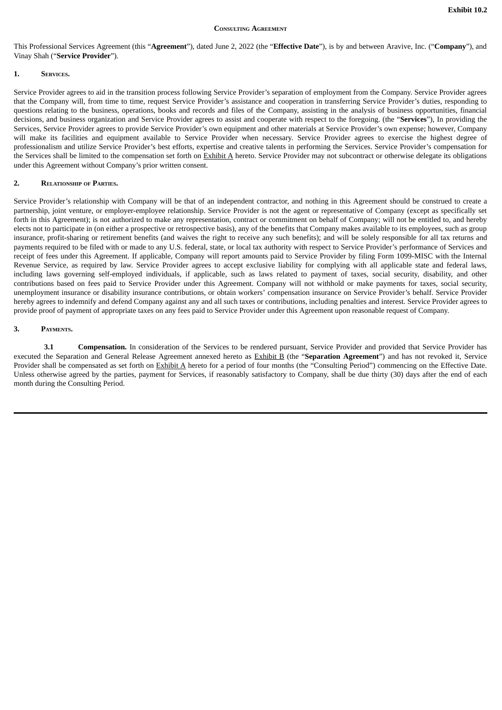#### **CONSULTING AGREEMENT**

<span id="page-19-0"></span>This Professional Services Agreement (this "**Agreement**"), dated June 2, 2022 (the "**Effective Date**"), is by and between Aravive, Inc. ("**Company**"), and Vinay Shah ("**Service Provider**").

#### **1. SERVICES.**

Service Provider agrees to aid in the transition process following Service Provider's separation of employment from the Company. Service Provider agrees that the Company will, from time to time, request Service Provider's assistance and cooperation in transferring Service Provider's duties, responding to questions relating to the business, operations, books and records and files of the Company, assisting in the analysis of business opportunities, financial decisions, and business organization and Service Provider agrees to assist and cooperate with respect to the foregoing. (the "**Services**"), In providing the Services, Service Provider agrees to provide Service Provider's own equipment and other materials at Service Provider's own expense; however, Company will make its facilities and equipment available to Service Provider when necessary. Service Provider agrees to exercise the highest degree of professionalism and utilize Service Provider's best efforts, expertise and creative talents in performing the Services. Service Provider's compensation for the Services shall be limited to the compensation set forth on Exhibit A hereto. Service Provider may not subcontract or otherwise delegate its obligations under this Agreement without Company's prior written consent.

#### **2. RELATIONSHIP OF PARTIES.**

Service Provider's relationship with Company will be that of an independent contractor, and nothing in this Agreement should be construed to create a partnership, joint venture, or employer-employee relationship. Service Provider is not the agent or representative of Company (except as specifically set forth in this Agreement); is not authorized to make any representation, contract or commitment on behalf of Company; will not be entitled to, and hereby elects not to participate in (on either a prospective or retrospective basis), any of the benefits that Company makes available to its employees, such as group insurance, profit-sharing or retirement benefits (and waives the right to receive any such benefits); and will be solely responsible for all tax returns and payments required to be filed with or made to any U.S. federal, state, or local tax authority with respect to Service Provider's performance of Services and receipt of fees under this Agreement. If applicable, Company will report amounts paid to Service Provider by filing Form 1099-MISC with the Internal Revenue Service, as required by law. Service Provider agrees to accept exclusive liability for complying with all applicable state and federal laws, including laws governing self-employed individuals, if applicable, such as laws related to payment of taxes, social security, disability, and other contributions based on fees paid to Service Provider under this Agreement. Company will not withhold or make payments for taxes, social security, unemployment insurance or disability insurance contributions, or obtain workers' compensation insurance on Service Provider's behalf. Service Provider hereby agrees to indemnify and defend Company against any and all such taxes or contributions, including penalties and interest. Service Provider agrees to provide proof of payment of appropriate taxes on any fees paid to Service Provider under this Agreement upon reasonable request of Company.

#### **3. PAYMENTS.**

**3.1 Compensation.** In consideration of the Services to be rendered pursuant, Service Provider and provided that Service Provider has executed the Separation and General Release Agreement annexed hereto as Exhibit B (the "**Separation Agreement**") and has not revoked it, Service Provider shall be compensated as set forth on Exhibit A hereto for a period of four months (the "Consulting Period") commencing on the Effective Date. Unless otherwise agreed by the parties, payment for Services, if reasonably satisfactory to Company, shall be due thirty (30) days after the end of each month during the Consulting Period.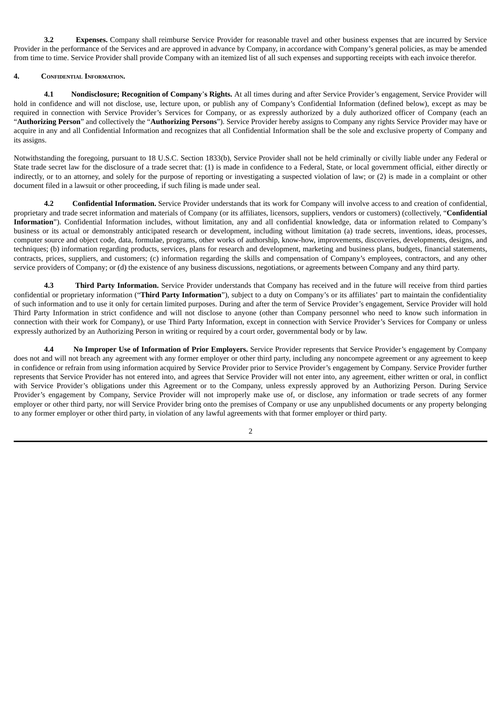**3.2 Expenses.** Company shall reimburse Service Provider for reasonable travel and other business expenses that are incurred by Service Provider in the performance of the Services and are approved in advance by Company, in accordance with Company's general policies, as may be amended from time to time. Service Provider shall provide Company with an itemized list of all such expenses and supporting receipts with each invoice therefor.

#### **4. CONFIDENTIAL INFORMATION.**

**4.1 Nondisclosure; Recognition of Company**'**s Rights.** At all times during and after Service Provider's engagement, Service Provider will hold in confidence and will not disclose, use, lecture upon, or publish any of Company's Confidential Information (defined below), except as may be required in connection with Service Provider's Services for Company, or as expressly authorized by a duly authorized officer of Company (each an "**Authorizing Person**" and collectively the "**Authorizing Persons**"). Service Provider hereby assigns to Company any rights Service Provider may have or acquire in any and all Confidential Information and recognizes that all Confidential Information shall be the sole and exclusive property of Company and its assigns.

Notwithstanding the foregoing, pursuant to 18 U.S.C. Section 1833(b), Service Provider shall not be held criminally or civilly liable under any Federal or State trade secret law for the disclosure of a trade secret that: (1) is made in confidence to a Federal, State, or local government official, either directly or indirectly, or to an attorney, and solely for the purpose of reporting or investigating a suspected violation of law; or (2) is made in a complaint or other document filed in a lawsuit or other proceeding, if such filing is made under seal.

**4.2 Confidential Information.** Service Provider understands that its work for Company will involve access to and creation of confidential, proprietary and trade secret information and materials of Company (or its affiliates, licensors, suppliers, vendors or customers) (collectively, "**Confidential Information**"). Confidential Information includes, without limitation, any and all confidential knowledge, data or information related to Company's business or its actual or demonstrably anticipated research or development, including without limitation (a) trade secrets, inventions, ideas, processes, computer source and object code, data, formulae, programs, other works of authorship, know-how, improvements, discoveries, developments, designs, and techniques; (b) information regarding products, services, plans for research and development, marketing and business plans, budgets, financial statements, contracts, prices, suppliers, and customers; (c) information regarding the skills and compensation of Company's employees, contractors, and any other service providers of Company; or (d) the existence of any business discussions, negotiations, or agreements between Company and any third party.

**4.3 Third Party Information.** Service Provider understands that Company has received and in the future will receive from third parties confidential or proprietary information ("**Third Party Information**"), subject to a duty on Company's or its affiliates' part to maintain the confidentiality of such information and to use it only for certain limited purposes. During and after the term of Service Provider's engagement, Service Provider will hold Third Party Information in strict confidence and will not disclose to anyone (other than Company personnel who need to know such information in connection with their work for Company), or use Third Party Information, except in connection with Service Provider's Services for Company or unless expressly authorized by an Authorizing Person in writing or required by a court order, governmental body or by law.

**4.4 No Improper Use of Information of Prior Employers.** Service Provider represents that Service Provider's engagement by Company does not and will not breach any agreement with any former employer or other third party, including any noncompete agreement or any agreement to keep in confidence or refrain from using information acquired by Service Provider prior to Service Provider's engagement by Company. Service Provider further represents that Service Provider has not entered into, and agrees that Service Provider will not enter into, any agreement, either written or oral, in conflict with Service Provider's obligations under this Agreement or to the Company, unless expressly approved by an Authorizing Person. During Service Provider's engagement by Company, Service Provider will not improperly make use of, or disclose, any information or trade secrets of any former employer or other third party, nor will Service Provider bring onto the premises of Company or use any unpublished documents or any property belonging to any former employer or other third party, in violation of any lawful agreements with that former employer or third party.

 $\overline{2}$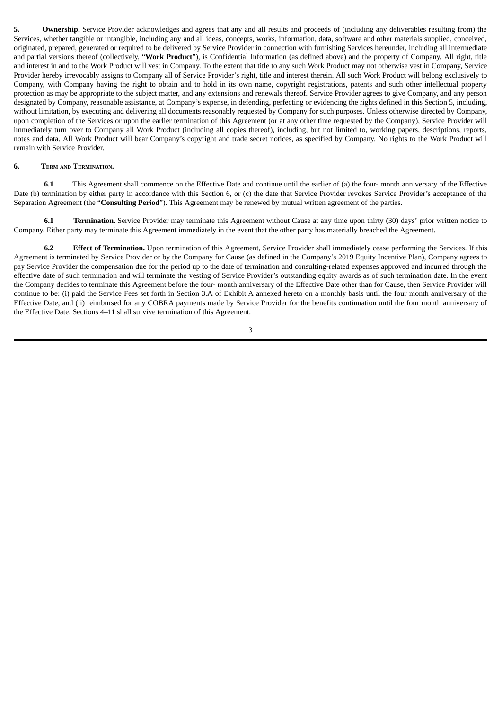**5. Ownership.** Service Provider acknowledges and agrees that any and all results and proceeds of (including any deliverables resulting from) the Services, whether tangible or intangible, including any and all ideas, concepts, works, information, data, software and other materials supplied, conceived, originated, prepared, generated or required to be delivered by Service Provider in connection with furnishing Services hereunder, including all intermediate and partial versions thereof (collectively, "**Work Product**"), is Confidential Information (as defined above) and the property of Company. All right, title and interest in and to the Work Product will vest in Company. To the extent that title to any such Work Product may not otherwise vest in Company, Service Provider hereby irrevocably assigns to Company all of Service Provider's right, title and interest therein. All such Work Product will belong exclusively to Company, with Company having the right to obtain and to hold in its own name, copyright registrations, patents and such other intellectual property protection as may be appropriate to the subject matter, and any extensions and renewals thereof. Service Provider agrees to give Company, and any person designated by Company, reasonable assistance, at Company's expense, in defending, perfecting or evidencing the rights defined in this Section 5, including, without limitation, by executing and delivering all documents reasonably requested by Company for such purposes. Unless otherwise directed by Company, upon completion of the Services or upon the earlier termination of this Agreement (or at any other time requested by the Company), Service Provider will immediately turn over to Company all Work Product (including all copies thereof), including, but not limited to, working papers, descriptions, reports, notes and data. All Work Product will bear Company's copyright and trade secret notices, as specified by Company. No rights to the Work Product will remain with Service Provider.

#### **6. TERM AND TERMINATION.**

**6.1** This Agreement shall commence on the Effective Date and continue until the earlier of (a) the four- month anniversary of the Effective Date (b) termination by either party in accordance with this Section 6, or (c) the date that Service Provider revokes Service Provider's acceptance of the Separation Agreement (the "**Consulting Period**"). This Agreement may be renewed by mutual written agreement of the parties.

**6.1 Termination.** Service Provider may terminate this Agreement without Cause at any time upon thirty (30) days' prior written notice to Company. Either party may terminate this Agreement immediately in the event that the other party has materially breached the Agreement.

**6.2 Effect of Termination.** Upon termination of this Agreement, Service Provider shall immediately cease performing the Services. If this Agreement is terminated by Service Provider or by the Company for Cause (as defined in the Company's 2019 Equity Incentive Plan), Company agrees to pay Service Provider the compensation due for the period up to the date of termination and consulting-related expenses approved and incurred through the effective date of such termination and will terminate the vesting of Service Provider's outstanding equity awards as of such termination date. In the event the Company decides to terminate this Agreement before the four- month anniversary of the Effective Date other than for Cause, then Service Provider will continue to be: (i) paid the Service Fees set forth in Section 3.A of Exhibit A annexed hereto on a monthly basis until the four month anniversary of the Effective Date, and (ii) reimbursed for any COBRA payments made by Service Provider for the benefits continuation until the four month anniversary of the Effective Date. Sections 4–11 shall survive termination of this Agreement.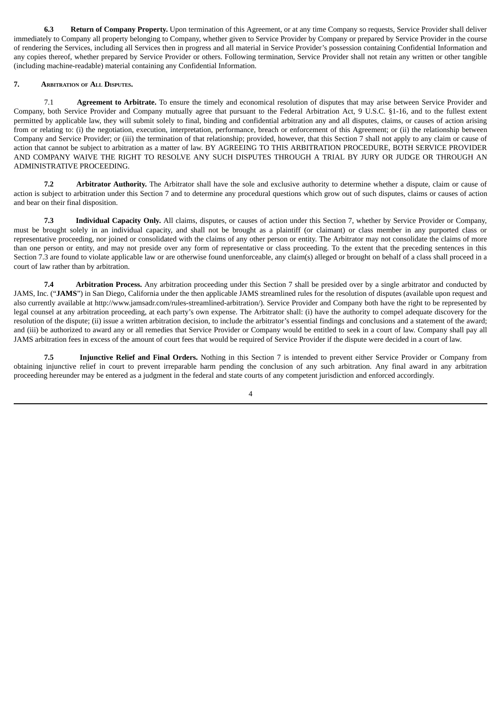**6.3 Return of Company Property.** Upon termination of this Agreement, or at any time Company so requests, Service Provider shall deliver immediately to Company all property belonging to Company, whether given to Service Provider by Company or prepared by Service Provider in the course of rendering the Services, including all Services then in progress and all material in Service Provider's possession containing Confidential Information and any copies thereof, whether prepared by Service Provider or others. Following termination, Service Provider shall not retain any written or other tangible (including machine-readable) material containing any Confidential Information.

## **7. ARBITRATION OF ALL DISPUTES.**

7.1 **Agreement to Arbitrate.** To ensure the timely and economical resolution of disputes that may arise between Service Provider and Company, both Service Provider and Company mutually agree that pursuant to the Federal Arbitration Act, 9 U.S.C. §1-16, and to the fullest extent permitted by applicable law, they will submit solely to final, binding and confidential arbitration any and all disputes, claims, or causes of action arising from or relating to: (i) the negotiation, execution, interpretation, performance, breach or enforcement of this Agreement; or (ii) the relationship between Company and Service Provider; or (iii) the termination of that relationship; provided, however, that this Section 7 shall not apply to any claim or cause of action that cannot be subject to arbitration as a matter of law. BY AGREEING TO THIS ARBITRATION PROCEDURE, BOTH SERVICE PROVIDER AND COMPANY WAIVE THE RIGHT TO RESOLVE ANY SUCH DISPUTES THROUGH A TRIAL BY JURY OR JUDGE OR THROUGH AN ADMINISTRATIVE PROCEEDING.

**7.2 Arbitrator Authority.** The Arbitrator shall have the sole and exclusive authority to determine whether a dispute, claim or cause of action is subject to arbitration under this Section 7 and to determine any procedural questions which grow out of such disputes, claims or causes of action and bear on their final disposition.

**7.3 Individual Capacity Only.** All claims, disputes, or causes of action under this Section 7, whether by Service Provider or Company, must be brought solely in an individual capacity, and shall not be brought as a plaintiff (or claimant) or class member in any purported class or representative proceeding, nor joined or consolidated with the claims of any other person or entity. The Arbitrator may not consolidate the claims of more than one person or entity, and may not preside over any form of representative or class proceeding. To the extent that the preceding sentences in this Section 7.3 are found to violate applicable law or are otherwise found unenforceable, any claim(s) alleged or brought on behalf of a class shall proceed in a court of law rather than by arbitration.

**7.4 Arbitration Process.** Any arbitration proceeding under this Section 7 shall be presided over by a single arbitrator and conducted by JAMS, Inc. ("**JAMS**") in San Diego, California under the then applicable JAMS streamlined rules for the resolution of disputes (available upon request and also currently available at http://www.jamsadr.com/rules-streamlined-arbitration/). Service Provider and Company both have the right to be represented by legal counsel at any arbitration proceeding, at each party's own expense. The Arbitrator shall: (i) have the authority to compel adequate discovery for the resolution of the dispute; (ii) issue a written arbitration decision, to include the arbitrator's essential findings and conclusions and a statement of the award; and (iii) be authorized to award any or all remedies that Service Provider or Company would be entitled to seek in a court of law. Company shall pay all JAMS arbitration fees in excess of the amount of court fees that would be required of Service Provider if the dispute were decided in a court of law.

**7.5 Injunctive Relief and Final Orders.** Nothing in this Section 7 is intended to prevent either Service Provider or Company from obtaining injunctive relief in court to prevent irreparable harm pending the conclusion of any such arbitration. Any final award in any arbitration proceeding hereunder may be entered as a judgment in the federal and state courts of any competent jurisdiction and enforced accordingly.

<sup>4</sup>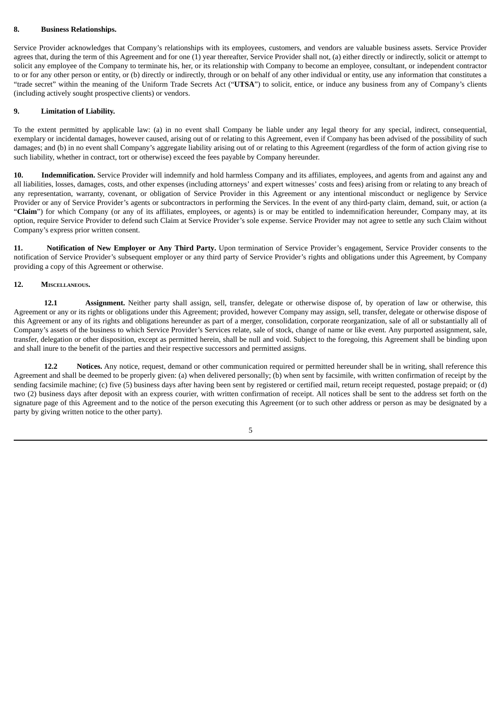#### **8. Business Relationships.**

Service Provider acknowledges that Company's relationships with its employees, customers, and vendors are valuable business assets. Service Provider agrees that, during the term of this Agreement and for one (1) year thereafter, Service Provider shall not, (a) either directly or indirectly, solicit or attempt to solicit any employee of the Company to terminate his, her, or its relationship with Company to become an employee, consultant, or independent contractor to or for any other person or entity, or (b) directly or indirectly, through or on behalf of any other individual or entity, use any information that constitutes a "trade secret" within the meaning of the Uniform Trade Secrets Act ("**UTSA**") to solicit, entice, or induce any business from any of Company's clients (including actively sought prospective clients) or vendors.

#### **9. Limitation of Liability.**

To the extent permitted by applicable law: (a) in no event shall Company be liable under any legal theory for any special, indirect, consequential, exemplary or incidental damages, however caused, arising out of or relating to this Agreement, even if Company has been advised of the possibility of such damages; and (b) in no event shall Company's aggregate liability arising out of or relating to this Agreement (regardless of the form of action giving rise to such liability, whether in contract, tort or otherwise) exceed the fees payable by Company hereunder.

**10. Indemnification.** Service Provider will indemnify and hold harmless Company and its affiliates, employees, and agents from and against any and all liabilities, losses, damages, costs, and other expenses (including attorneys' and expert witnesses' costs and fees) arising from or relating to any breach of any representation, warranty, covenant, or obligation of Service Provider in this Agreement or any intentional misconduct or negligence by Service Provider or any of Service Provider's agents or subcontractors in performing the Services. In the event of any third-party claim, demand, suit, or action (a "**Claim**") for which Company (or any of its affiliates, employees, or agents) is or may be entitled to indemnification hereunder, Company may, at its option, require Service Provider to defend such Claim at Service Provider's sole expense. Service Provider may not agree to settle any such Claim without Company's express prior written consent.

**11. Notification of New Employer or Any Third Party.** Upon termination of Service Provider's engagement, Service Provider consents to the notification of Service Provider's subsequent employer or any third party of Service Provider's rights and obligations under this Agreement, by Company providing a copy of this Agreement or otherwise.

#### **12. MISCELLANEOUS.**

**12.1 Assignment.** Neither party shall assign, sell, transfer, delegate or otherwise dispose of, by operation of law or otherwise, this Agreement or any or its rights or obligations under this Agreement; provided, however Company may assign, sell, transfer, delegate or otherwise dispose of this Agreement or any of its rights and obligations hereunder as part of a merger, consolidation, corporate reorganization, sale of all or substantially all of Company's assets of the business to which Service Provider's Services relate, sale of stock, change of name or like event. Any purported assignment, sale, transfer, delegation or other disposition, except as permitted herein, shall be null and void. Subject to the foregoing, this Agreement shall be binding upon and shall inure to the benefit of the parties and their respective successors and permitted assigns.

**12.2 Notices.** Any notice, request, demand or other communication required or permitted hereunder shall be in writing, shall reference this Agreement and shall be deemed to be properly given: (a) when delivered personally; (b) when sent by facsimile, with written confirmation of receipt by the sending facsimile machine; (c) five (5) business days after having been sent by registered or certified mail, return receipt requested, postage prepaid; or (d) two (2) business days after deposit with an express courier, with written confirmation of receipt. All notices shall be sent to the address set forth on the signature page of this Agreement and to the notice of the person executing this Agreement (or to such other address or person as may be designated by a party by giving written notice to the other party).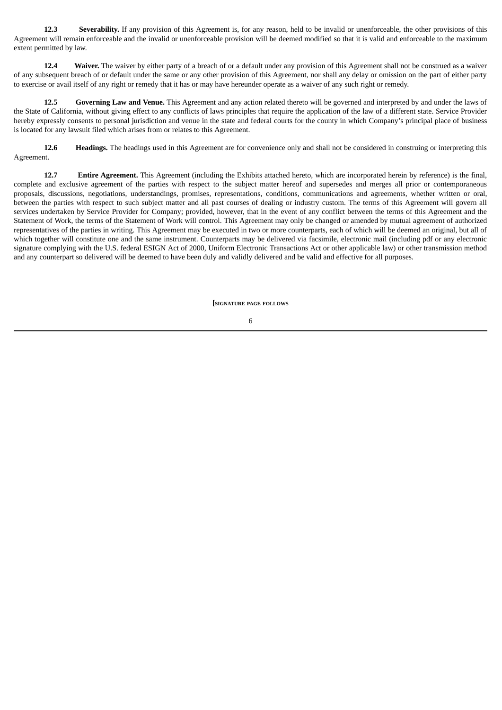**12.3 Severability.** If any provision of this Agreement is, for any reason, held to be invalid or unenforceable, the other provisions of this Agreement will remain enforceable and the invalid or unenforceable provision will be deemed modified so that it is valid and enforceable to the maximum extent permitted by law.

12.4 **Waiver.** The waiver by either party of a breach of or a default under any provision of this Agreement shall not be construed as a waiver of any subsequent breach of or default under the same or any other provision of this Agreement, nor shall any delay or omission on the part of either party to exercise or avail itself of any right or remedy that it has or may have hereunder operate as a waiver of any such right or remedy.

**12.5 Governing Law and Venue.** This Agreement and any action related thereto will be governed and interpreted by and under the laws of the State of California, without giving effect to any conflicts of laws principles that require the application of the law of a different state. Service Provider hereby expressly consents to personal jurisdiction and venue in the state and federal courts for the county in which Company's principal place of business is located for any lawsuit filed which arises from or relates to this Agreement.

**12.6 Headings.** The headings used in this Agreement are for convenience only and shall not be considered in construing or interpreting this Agreement.

**12.7 Entire Agreement.** This Agreement (including the Exhibits attached hereto, which are incorporated herein by reference) is the final, complete and exclusive agreement of the parties with respect to the subject matter hereof and supersedes and merges all prior or contemporaneous proposals, discussions, negotiations, understandings, promises, representations, conditions, communications and agreements, whether written or oral, between the parties with respect to such subject matter and all past courses of dealing or industry custom. The terms of this Agreement will govern all services undertaken by Service Provider for Company; provided, however, that in the event of any conflict between the terms of this Agreement and the Statement of Work, the terms of the Statement of Work will control. This Agreement may only be changed or amended by mutual agreement of authorized representatives of the parties in writing. This Agreement may be executed in two or more counterparts, each of which will be deemed an original, but all of which together will constitute one and the same instrument. Counterparts may be delivered via facsimile, electronic mail (including pdf or any electronic signature complying with the U.S. federal ESIGN Act of 2000, Uniform Electronic Transactions Act or other applicable law) or other transmission method and any counterpart so delivered will be deemed to have been duly and validly delivered and be valid and effective for all purposes.

**[SIGNATURE PAGE FOLLOWS**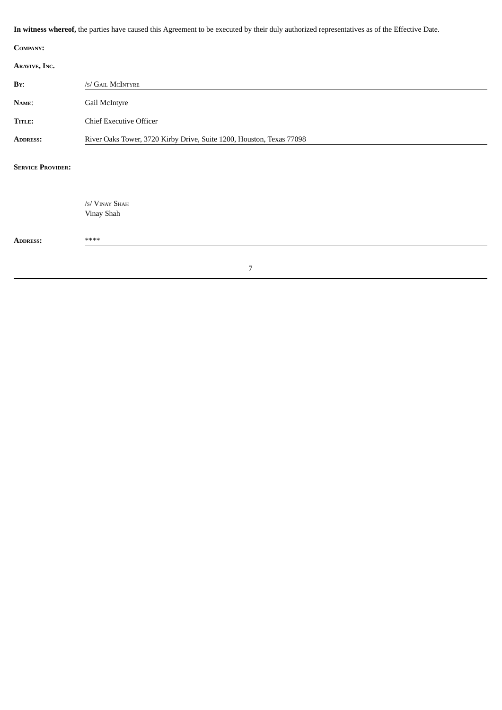|                          | In witness whereof, the parties have caused this Agreement to be executed by their duly authorized representatives as of the Effective Date. |
|--------------------------|----------------------------------------------------------------------------------------------------------------------------------------------|
| COMPANY:                 |                                                                                                                                              |
| ARAVIVE, INC.            |                                                                                                                                              |
| BY:                      | /s/ GAIL MCINTYRE                                                                                                                            |
| NAME:                    | Gail McIntyre                                                                                                                                |
| TITLE:                   | <b>Chief Executive Officer</b>                                                                                                               |
| <b>ADDRESS:</b>          | River Oaks Tower, 3720 Kirby Drive, Suite 1200, Houston, Texas 77098                                                                         |
| <b>SERVICE PROVIDER:</b> |                                                                                                                                              |
|                          | /s/ VINAY SHAH                                                                                                                               |
|                          | Vinay Shah                                                                                                                                   |
| <b>ADDRESS:</b>          | ****                                                                                                                                         |
|                          |                                                                                                                                              |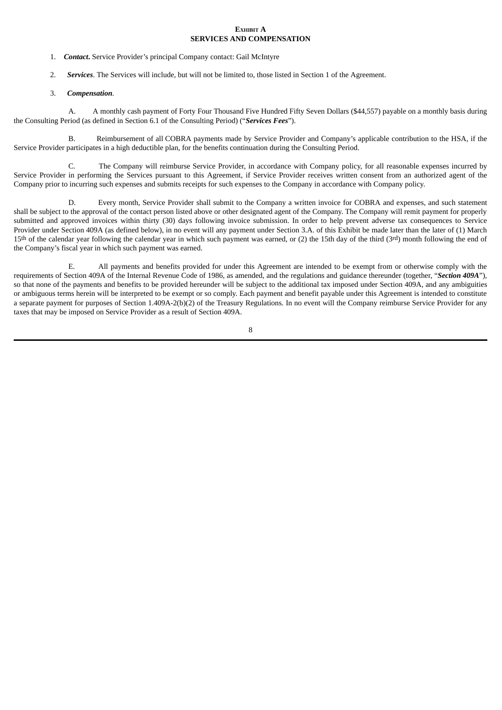#### **EXHIBIT A SERVICES AND COMPENSATION**

- 1. *Contact***.** Service Provider's principal Company contact: Gail McIntyre
- 2. *Services*. The Services will include, but will not be limited to, those listed in Section 1 of the Agreement.
- 3. *Compensation.*

A. A monthly cash payment of Forty Four Thousand Five Hundred Fifty Seven Dollars (\$44,557) payable on a monthly basis during the Consulting Period (as defined in Section 6.1 of the Consulting Period) ("*Services Fees*").

B. Reimbursement of all COBRA payments made by Service Provider and Company's applicable contribution to the HSA, if the Service Provider participates in a high deductible plan, for the benefits continuation during the Consulting Period.

C. The Company will reimburse Service Provider, in accordance with Company policy, for all reasonable expenses incurred by Service Provider in performing the Services pursuant to this Agreement, if Service Provider receives written consent from an authorized agent of the Company prior to incurring such expenses and submits receipts for such expenses to the Company in accordance with Company policy.

D. Every month, Service Provider shall submit to the Company a written invoice for COBRA and expenses, and such statement shall be subject to the approval of the contact person listed above or other designated agent of the Company. The Company will remit payment for properly submitted and approved invoices within thirty (30) days following invoice submission. In order to help prevent adverse tax consequences to Service Provider under Section 409A (as defined below), in no event will any payment under Section 3.A. of this Exhibit be made later than the later of (1) March 15th of the calendar year following the calendar year in which such payment was earned, or (2) the 15th day of the third (3rd) month following the end of the Company's fiscal year in which such payment was earned.

E. All payments and benefits provided for under this Agreement are intended to be exempt from or otherwise comply with the requirements of Section 409A of the Internal Revenue Code of 1986, as amended, and the regulations and guidance thereunder (together, "*Section 409A*"), so that none of the payments and benefits to be provided hereunder will be subject to the additional tax imposed under Section 409A, and any ambiguities or ambiguous terms herein will be interpreted to be exempt or so comply. Each payment and benefit payable under this Agreement is intended to constitute a separate payment for purposes of Section 1.409A-2(b)(2) of the Treasury Regulations. In no event will the Company reimburse Service Provider for any taxes that may be imposed on Service Provider as a result of Section 409A.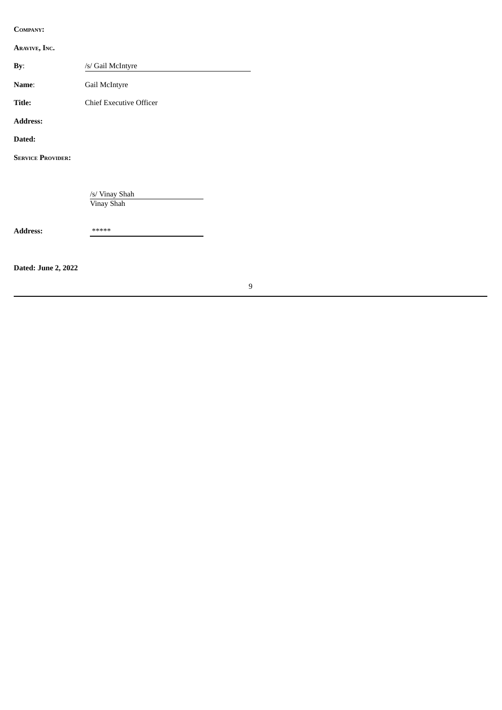**COMPANY:**

**ARAVIVE, INC. By**: /s/ Gail McIntyre **Name**: Gail McIntyre **Title:** Chief Executive Officer **Address: Dated: SERVICE PROVIDER:** /s/ Vinay Shah Vinay Shah **Address:** \*\*\*\*\* **Dated: June 2, 2022**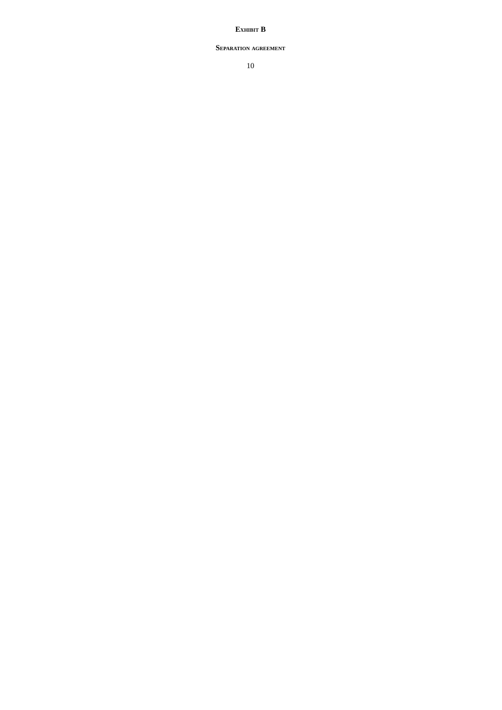## **EXHIBIT B**

#### **SEPARATION AGREEMENT**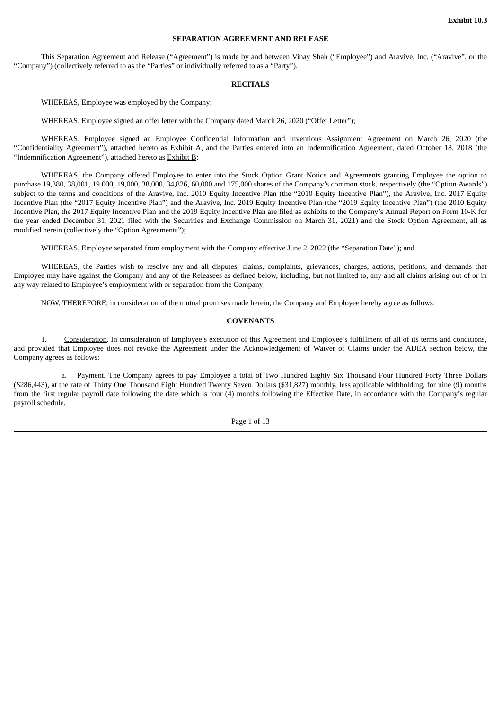#### **SEPARATION AGREEMENT AND RELEASE**

<span id="page-29-0"></span>This Separation Agreement and Release ("Agreement") is made by and between Vinay Shah ("Employee") and Aravive, Inc. ("Aravive", or the "Company") (collectively referred to as the "Parties" or individually referred to as a "Party").

#### **RECITALS**

WHEREAS, Employee was employed by the Company;

WHEREAS, Employee signed an offer letter with the Company dated March 26, 2020 ("Offer Letter");

WHEREAS, Employee signed an Employee Confidential Information and Inventions Assignment Agreement on March 26, 2020 (the "Confidentiality Agreement"), attached hereto as Exhibit A, and the Parties entered into an Indemnification Agreement, dated October 18, 2018 (the "Indemnification Agreement"), attached hereto as Exhibit B;

WHEREAS, the Company offered Employee to enter into the Stock Option Grant Notice and Agreements granting Employee the option to purchase 19,380, 38,001, 19,000, 19,000, 38,000, 34,826, 60,000 and 175,000 shares of the Company's common stock, respectively (the "Option Awards") subject to the terms and conditions of the Aravive, Inc. 2010 Equity Incentive Plan (the "2010 Equity Incentive Plan"), the Aravive, Inc. 2017 Equity Incentive Plan (the "2017 Equity Incentive Plan") and the Aravive, Inc. 2019 Equity Incentive Plan (the "2019 Equity Incentive Plan") (the 2010 Equity Incentive Plan, the 2017 Equity Incentive Plan and the 2019 Equity Incentive Plan are filed as exhibits to the Company's Annual Report on Form 10-K for the year ended December 31, 2021 filed with the Securities and Exchange Commission on March 31, 2021) and the Stock Option Agreement, all as modified herein (collectively the "Option Agreements");

WHEREAS, Employee separated from employment with the Company effective June 2, 2022 (the "Separation Date"); and

WHEREAS, the Parties wish to resolve any and all disputes, claims, complaints, grievances, charges, actions, petitions, and demands that Employee may have against the Company and any of the Releasees as defined below, including, but not limited to, any and all claims arising out of or in any way related to Employee's employment with or separation from the Company;

NOW, THEREFORE, in consideration of the mutual promises made herein, the Company and Employee hereby agree as follows:

#### **COVENANTS**

1. Consideration. In consideration of Employee's execution of this Agreement and Employee's fulfillment of all of its terms and conditions, and provided that Employee does not revoke the Agreement under the Acknowledgement of Waiver of Claims under the ADEA section below, the Company agrees as follows:

a. Payment. The Company agrees to pay Employee a total of Two Hundred Eighty Six Thousand Four Hundred Forty Three Dollars (\$286,443), at the rate of Thirty One Thousand Eight Hundred Twenty Seven Dollars (\$31,827) monthly, less applicable withholding, for nine (9) months from the first regular payroll date following the date which is four (4) months following the Effective Date, in accordance with the Company's regular payroll schedule.

Page 1 of 13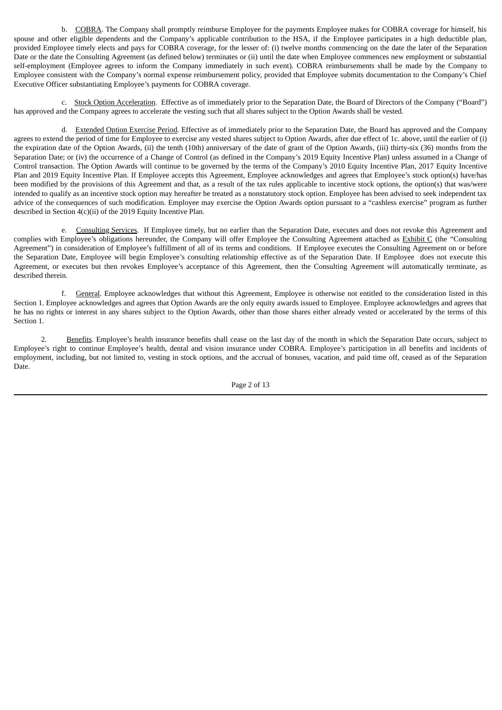b. COBRA. The Company shall promptly reimburse Employee for the payments Employee makes for COBRA coverage for himself, his spouse and other eligible dependents and the Company's applicable contribution to the HSA, if the Employee participates in a high deductible plan, provided Employee timely elects and pays for COBRA coverage, for the lesser of: (i) twelve months commencing on the date the later of the Separation Date or the date the Consulting Agreement (as defined below) terminates or (ii) until the date when Employee commences new employment or substantial self-employment (Employee agrees to inform the Company immediately in such event). COBRA reimbursements shall be made by the Company to Employee consistent with the Company's normal expense reimbursement policy, provided that Employee submits documentation to the Company's Chief Executive Officer substantiating Employee's payments for COBRA coverage.

c. Stock Option Acceleration. Effective as of immediately prior to the Separation Date, the Board of Directors of the Company ("Board") has approved and the Company agrees to accelerate the vesting such that all shares subject to the Option Awards shall be vested.

d. Extended Option Exercise Period. Effective as of immediately prior to the Separation Date, the Board has approved and the Company agrees to extend the period of time for Employee to exercise any vested shares subject to Option Awards, after due effect of 1c. above, until the earlier of (i) the expiration date of the Option Awards, (ii) the tenth (10th) anniversary of the date of grant of the Option Awards, (iii) thirty-six (36) months from the Separation Date; or (iv) the occurrence of a Change of Control (as defined in the Company's 2019 Equity Incentive Plan) unless assumed in a Change of Control transaction. The Option Awards will continue to be governed by the terms of the Company's 2010 Equity Incentive Plan, 2017 Equity Incentive Plan and 2019 Equity Incentive Plan. If Employee accepts this Agreement, Employee acknowledges and agrees that Employee's stock option(s) have/has been modified by the provisions of this Agreement and that, as a result of the tax rules applicable to incentive stock options, the option(s) that was/were intended to qualify as an incentive stock option may hereafter be treated as a nonstatutory stock option. Employee has been advised to seek independent tax advice of the consequences of such modification. Employee may exercise the Option Awards option pursuant to a "cashless exercise" program as further described in Section 4(c)(ii) of the 2019 Equity Incentive Plan.

e. Consulting Services. If Employee timely, but no earlier than the Separation Date, executes and does not revoke this Agreement and complies with Employee's obligations hereunder, the Company will offer Employee the Consulting Agreement attached as Exhibit C (the "Consulting Agreement") in consideration of Employee's fulfillment of all of its terms and conditions. If Employee executes the Consulting Agreement on or before the Separation Date, Employee will begin Employee's consulting relationship effective as of the Separation Date. If Employee does not execute this Agreement, or executes but then revokes Employee's acceptance of this Agreement, then the Consulting Agreement will automatically terminate, as described therein.

f. General. Employee acknowledges that without this Agreement, Employee is otherwise not entitled to the consideration listed in this Section 1. Employee acknowledges and agrees that Option Awards are the only equity awards issued to Employee. Employee acknowledges and agrees that he has no rights or interest in any shares subject to the Option Awards, other than those shares either already vested or accelerated by the terms of this Section 1.

2. Benefits. Employee's health insurance benefits shall cease on the last day of the month in which the Separation Date occurs, subject to Employee's right to continue Employee's health, dental and vision insurance under COBRA. Employee's participation in all benefits and incidents of employment, including, but not limited to, vesting in stock options, and the accrual of bonuses, vacation, and paid time off, ceased as of the Separation Date.

Page 2 of 13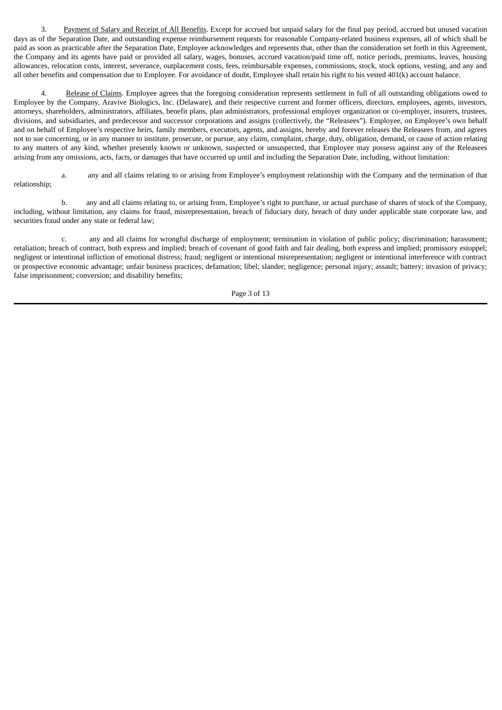3. Payment of Salary and Receipt of All Benefits. Except for accrued but unpaid salary for the final pay period, accrued but unused vacation days as of the Separation Date, and outstanding expense reimbursement requests for reasonable Company-related business expenses, all of which shall be paid as soon as practicable after the Separation Date, Employee acknowledges and represents that, other than the consideration set forth in this Agreement, the Company and its agents have paid or provided all salary, wages, bonuses, accrued vacation/paid time off, notice periods, premiums, leaves, housing allowances, relocation costs, interest, severance, outplacement costs, fees, reimbursable expenses, commissions, stock, stock options, vesting, and any and all other benefits and compensation due to Employee. For avoidance of doubt, Employee shall retain his right to his vested 401(k) account balance.

Release of Claims. Employee agrees that the foregoing consideration represents settlement in full of all outstanding obligations owed to Employee by the Company, Aravive Biologics, Inc. (Delaware), and their respective current and former officers, directors, employees, agents, investors, attorneys, shareholders, administrators, affiliates, benefit plans, plan administrators, professional employer organization or co-employer, insurers, trustees, divisions, and subsidiaries, and predecessor and successor corporations and assigns (collectively, the "Releasees"). Employee, on Employee's own behalf and on behalf of Employee's respective heirs, family members, executors, agents, and assigns, hereby and forever releases the Releasees from, and agrees not to sue concerning, or in any manner to institute, prosecute, or pursue, any claim, complaint, charge, duty, obligation, demand, or cause of action relating to any matters of any kind, whether presently known or unknown, suspected or unsuspected, that Employee may possess against any of the Releasees arising from any omissions, acts, facts, or damages that have occurred up until and including the Separation Date, including, without limitation:

a. any and all claims relating to or arising from Employee's employment relationship with the Company and the termination of that relationship;

b. any and all claims relating to, or arising from, Employee's right to purchase, or actual purchase of shares of stock of the Company, including, without limitation, any claims for fraud, misrepresentation, breach of fiduciary duty, breach of duty under applicable state corporate law, and securities fraud under any state or federal law;

c. any and all claims for wrongful discharge of employment; termination in violation of public policy; discrimination; harassment; retaliation; breach of contract, both express and implied; breach of covenant of good faith and fair dealing, both express and implied; promissory estoppel; negligent or intentional infliction of emotional distress; fraud; negligent or intentional misrepresentation; negligent or intentional interference with contract or prospective economic advantage; unfair business practices; defamation; libel; slander; negligence; personal injury; assault; battery; invasion of privacy; false imprisonment; conversion; and disability benefits;

Page 3 of 13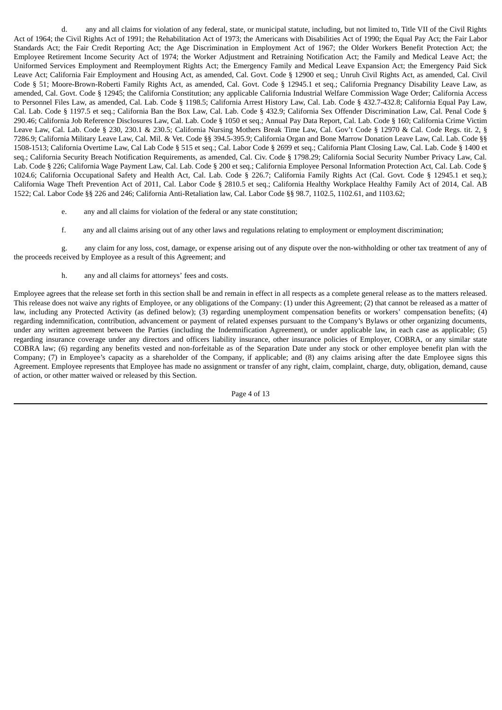d. any and all claims for violation of any federal, state, or municipal statute, including, but not limited to, Title VII of the Civil Rights Act of 1964; the Civil Rights Act of 1991; the Rehabilitation Act of 1973; the Americans with Disabilities Act of 1990; the Equal Pay Act; the Fair Labor Standards Act; the Fair Credit Reporting Act; the Age Discrimination in Employment Act of 1967; the Older Workers Benefit Protection Act; the Employee Retirement Income Security Act of 1974; the Worker Adjustment and Retraining Notification Act; the Family and Medical Leave Act; the Uniformed Services Employment and Reemployment Rights Act; the Emergency Family and Medical Leave Expansion Act; the Emergency Paid Sick Leave Act; California Fair Employment and Housing Act, as amended, Cal. Govt. Code § 12900 et seq.; Unruh Civil Rights Act, as amended, Cal. Civil Code § 51; Moore-Brown-Roberti Family Rights Act, as amended, Cal. Govt. Code § 12945.1 et seq.; California Pregnancy Disability Leave Law, as amended, Cal. Govt. Code § 12945; the California Constitution; any applicable California Industrial Welfare Commission Wage Order; California Access to Personnel Files Law, as amended, Cal. Lab. Code § 1198.5; California Arrest History Law, Cal. Lab. Code § 432.7-432.8; California Equal Pay Law, Cal. Lab. Code § 1197.5 et seq.; California Ban the Box Law, Cal. Lab. Code § 432.9; California Sex Offender Discrimination Law, Cal. Penal Code § 290.46; California Job Reference Disclosures Law, Cal. Lab. Code § 1050 et seq.; Annual Pay Data Report, Cal. Lab. Code § 160; California Crime Victim Leave Law, Cal. Lab. Code § 230, 230.1 & 230.5; California Nursing Mothers Break Time Law, Cal. Gov't Code § 12970 & Cal. Code Regs. tit. 2, § 7286.9; California Military Leave Law, Cal. Mil. & Vet. Code §§ 394.5-395.9; California Organ and Bone Marrow Donation Leave Law, Cal. Lab. Code §§ 1508-1513; California Overtime Law, Cal Lab Code § 515 et seq.; Cal. Labor Code § 2699 et seq.; California Plant Closing Law, Cal. Lab. Code § 1400 et seq.; California Security Breach Notification Requirements, as amended, Cal. Civ. Code § 1798.29; California Social Security Number Privacy Law, Cal. Lab. Code § 226; California Wage Payment Law, Cal. Lab. Code § 200 et seq.; California Employee Personal Information Protection Act, Cal. Lab. Code § 1024.6; California Occupational Safety and Health Act, Cal. Lab. Code § 226.7; California Family Rights Act (Cal. Govt. Code § 12945.1 et seq.); California Wage Theft Prevention Act of 2011, Cal. Labor Code § 2810.5 et seq.; California Healthy Workplace Healthy Family Act of 2014, Cal. AB 1522; Cal. Labor Code §§ 226 and 246; California Anti-Retaliation law, Cal. Labor Code §§ 98.7, 1102.5, 1102.61, and 1103.62;

- e. any and all claims for violation of the federal or any state constitution;
- f. any and all claims arising out of any other laws and regulations relating to employment or employment discrimination;

g. any claim for any loss, cost, damage, or expense arising out of any dispute over the non-withholding or other tax treatment of any of the proceeds received by Employee as a result of this Agreement; and

h. any and all claims for attorneys' fees and costs.

Employee agrees that the release set forth in this section shall be and remain in effect in all respects as a complete general release as to the matters released. This release does not waive any rights of Employee, or any obligations of the Company: (1) under this Agreement; (2) that cannot be released as a matter of law, including any Protected Activity (as defined below); (3) regarding unemployment compensation benefits or workers' compensation benefits; (4) regarding indemnification, contribution, advancement or payment of related expenses pursuant to the Company's Bylaws or other organizing documents, under any written agreement between the Parties (including the Indemnification Agreement), or under applicable law, in each case as applicable; (5) regarding insurance coverage under any directors and officers liability insurance, other insurance policies of Employer, COBRA, or any similar state COBRA law; (6) regarding any benefits vested and non-forfeitable as of the Separation Date under any stock or other employee benefit plan with the Company; (7) in Employee's capacity as a shareholder of the Company, if applicable; and (8) any claims arising after the date Employee signs this Agreement. Employee represents that Employee has made no assignment or transfer of any right, claim, complaint, charge, duty, obligation, demand, cause of action, or other matter waived or released by this Section.

Page 4 of 13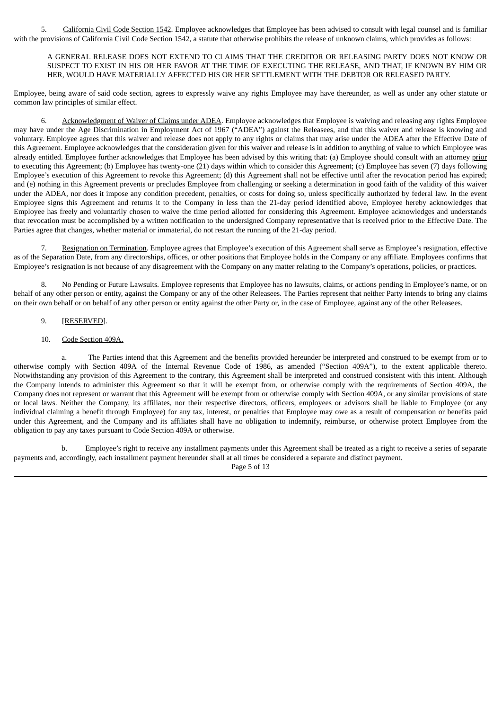5. California Civil Code Section 1542. Employee acknowledges that Employee has been advised to consult with legal counsel and is familiar with the provisions of California Civil Code Section 1542, a statute that otherwise prohibits the release of unknown claims, which provides as follows:

A GENERAL RELEASE DOES NOT EXTEND TO CLAIMS THAT THE CREDITOR OR RELEASING PARTY DOES NOT KNOW OR SUSPECT TO EXIST IN HIS OR HER FAVOR AT THE TIME OF EXECUTING THE RELEASE, AND THAT, IF KNOWN BY HIM OR HER, WOULD HAVE MATERIALLY AFFECTED HIS OR HER SETTLEMENT WITH THE DEBTOR OR RELEASED PARTY.

Employee, being aware of said code section, agrees to expressly waive any rights Employee may have thereunder, as well as under any other statute or common law principles of similar effect.

6. Acknowledgment of Waiver of Claims under ADEA. Employee acknowledges that Employee is waiving and releasing any rights Employee may have under the Age Discrimination in Employment Act of 1967 ("ADEA") against the Releasees, and that this waiver and release is knowing and voluntary. Employee agrees that this waiver and release does not apply to any rights or claims that may arise under the ADEA after the Effective Date of this Agreement. Employee acknowledges that the consideration given for this waiver and release is in addition to anything of value to which Employee was already entitled. Employee further acknowledges that Employee has been advised by this writing that: (a) Employee should consult with an attorney prior to executing this Agreement; (b) Employee has twenty-one (21) days within which to consider this Agreement; (c) Employee has seven (7) days following Employee's execution of this Agreement to revoke this Agreement; (d) this Agreement shall not be effective until after the revocation period has expired; and (e) nothing in this Agreement prevents or precludes Employee from challenging or seeking a determination in good faith of the validity of this waiver under the ADEA, nor does it impose any condition precedent, penalties, or costs for doing so, unless specifically authorized by federal law. In the event Employee signs this Agreement and returns it to the Company in less than the 21-day period identified above, Employee hereby acknowledges that Employee has freely and voluntarily chosen to waive the time period allotted for considering this Agreement. Employee acknowledges and understands that revocation must be accomplished by a written notification to the undersigned Company representative that is received prior to the Effective Date. The Parties agree that changes, whether material or immaterial, do not restart the running of the 21-day period.

7. Resignation on Termination. Employee agrees that Employee's execution of this Agreement shall serve as Employee's resignation, effective as of the Separation Date, from any directorships, offices, or other positions that Employee holds in the Company or any affiliate. Employees confirms that Employee's resignation is not because of any disagreement with the Company on any matter relating to the Company's operations, policies, or practices.

8. No Pending or Future Lawsuits. Employee represents that Employee has no lawsuits, claims, or actions pending in Employee's name, or on behalf of any other person or entity, against the Company or any of the other Releasees. The Parties represent that neither Party intends to bring any claims on their own behalf or on behalf of any other person or entity against the other Party or, in the case of Employee, against any of the other Releasees.

## 9. [RESERVED].

#### 10. Code Section 409A.

a. The Parties intend that this Agreement and the benefits provided hereunder be interpreted and construed to be exempt from or to otherwise comply with Section 409A of the Internal Revenue Code of 1986, as amended ("Section 409A"), to the extent applicable thereto. Notwithstanding any provision of this Agreement to the contrary, this Agreement shall be interpreted and construed consistent with this intent. Although the Company intends to administer this Agreement so that it will be exempt from, or otherwise comply with the requirements of Section 409A, the Company does not represent or warrant that this Agreement will be exempt from or otherwise comply with Section 409A, or any similar provisions of state or local laws. Neither the Company, its affiliates, nor their respective directors, officers, employees or advisors shall be liable to Employee (or any individual claiming a benefit through Employee) for any tax, interest, or penalties that Employee may owe as a result of compensation or benefits paid under this Agreement, and the Company and its affiliates shall have no obligation to indemnify, reimburse, or otherwise protect Employee from the obligation to pay any taxes pursuant to Code Section 409A or otherwise.

b. Employee's right to receive any installment payments under this Agreement shall be treated as a right to receive a series of separate payments and, accordingly, each installment payment hereunder shall at all times be considered a separate and distinct payment.

Page 5 of 13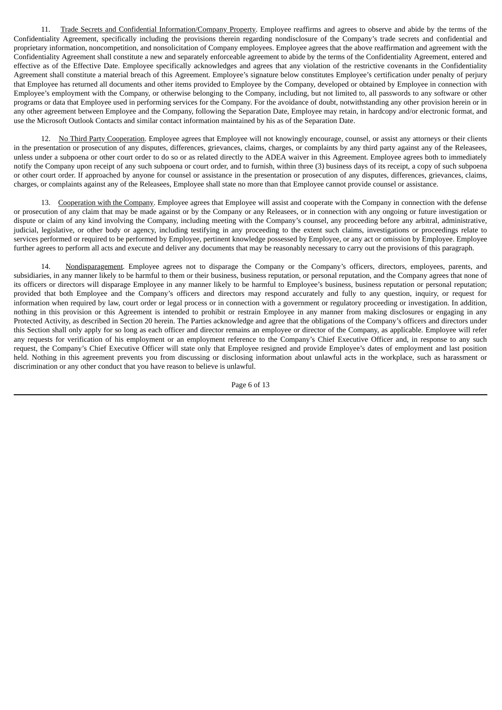11. Trade Secrets and Confidential Information/Company Property. Employee reaffirms and agrees to observe and abide by the terms of the Confidentiality Agreement, specifically including the provisions therein regarding nondisclosure of the Company's trade secrets and confidential and proprietary information, noncompetition, and nonsolicitation of Company employees. Employee agrees that the above reaffirmation and agreement with the Confidentiality Agreement shall constitute a new and separately enforceable agreement to abide by the terms of the Confidentiality Agreement, entered and effective as of the Effective Date. Employee specifically acknowledges and agrees that any violation of the restrictive covenants in the Confidentiality Agreement shall constitute a material breach of this Agreement. Employee's signature below constitutes Employee's certification under penalty of perjury that Employee has returned all documents and other items provided to Employee by the Company, developed or obtained by Employee in connection with Employee's employment with the Company, or otherwise belonging to the Company, including, but not limited to, all passwords to any software or other programs or data that Employee used in performing services for the Company. For the avoidance of doubt, notwithstanding any other provision herein or in any other agreement between Employee and the Company, following the Separation Date, Employee may retain, in hardcopy and/or electronic format, and use the Microsoft Outlook Contacts and similar contact information maintained by his as of the Separation Date.

12. No Third Party Cooperation. Employee agrees that Employee will not knowingly encourage, counsel, or assist any attorneys or their clients in the presentation or prosecution of any disputes, differences, grievances, claims, charges, or complaints by any third party against any of the Releasees, unless under a subpoena or other court order to do so or as related directly to the ADEA waiver in this Agreement. Employee agrees both to immediately notify the Company upon receipt of any such subpoena or court order, and to furnish, within three (3) business days of its receipt, a copy of such subpoena or other court order. If approached by anyone for counsel or assistance in the presentation or prosecution of any disputes, differences, grievances, claims, charges, or complaints against any of the Releasees, Employee shall state no more than that Employee cannot provide counsel or assistance.

13. Cooperation with the Company. Employee agrees that Employee will assist and cooperate with the Company in connection with the defense or prosecution of any claim that may be made against or by the Company or any Releasees, or in connection with any ongoing or future investigation or dispute or claim of any kind involving the Company, including meeting with the Company's counsel, any proceeding before any arbitral, administrative, judicial, legislative, or other body or agency, including testifying in any proceeding to the extent such claims, investigations or proceedings relate to services performed or required to be performed by Employee, pertinent knowledge possessed by Employee, or any act or omission by Employee. Employee further agrees to perform all acts and execute and deliver any documents that may be reasonably necessary to carry out the provisions of this paragraph.

14. Nondisparagement. Employee agrees not to disparage the Company or the Company's officers, directors, employees, parents, and subsidiaries, in any manner likely to be harmful to them or their business, business reputation, or personal reputation, and the Company agrees that none of its officers or directors will disparage Employee in any manner likely to be harmful to Employee's business, business reputation or personal reputation; provided that both Employee and the Company's officers and directors may respond accurately and fully to any question, inquiry, or request for information when required by law, court order or legal process or in connection with a government or regulatory proceeding or investigation. In addition, nothing in this provision or this Agreement is intended to prohibit or restrain Employee in any manner from making disclosures or engaging in any Protected Activity, as described in Section 20 herein. The Parties acknowledge and agree that the obligations of the Company's officers and directors under this Section shall only apply for so long as each officer and director remains an employee or director of the Company, as applicable. Employee will refer any requests for verification of his employment or an employment reference to the Company's Chief Executive Officer and, in response to any such request, the Company's Chief Executive Officer will state only that Employee resigned and provide Employee's dates of employment and last position held. Nothing in this agreement prevents you from discussing or disclosing information about unlawful acts in the workplace, such as harassment or discrimination or any other conduct that you have reason to believe is unlawful.

Page 6 of 13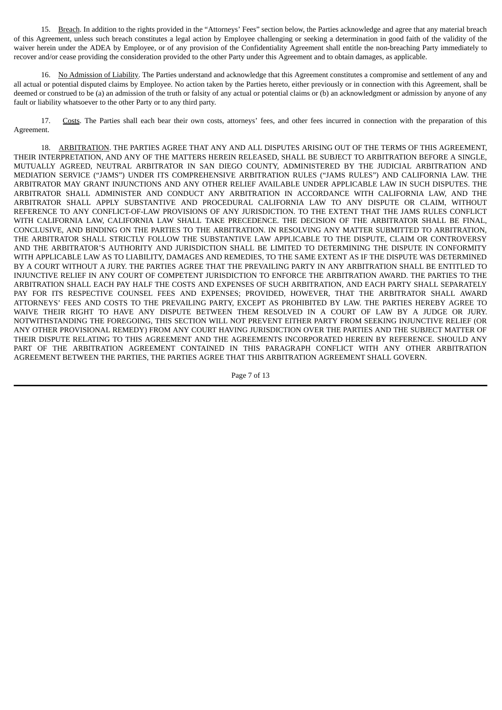15. Breach. In addition to the rights provided in the "Attorneys' Fees" section below, the Parties acknowledge and agree that any material breach of this Agreement, unless such breach constitutes a legal action by Employee challenging or seeking a determination in good faith of the validity of the waiver herein under the ADEA by Employee, or of any provision of the Confidentiality Agreement shall entitle the non-breaching Party immediately to recover and/or cease providing the consideration provided to the other Party under this Agreement and to obtain damages, as applicable.

16. No Admission of Liability. The Parties understand and acknowledge that this Agreement constitutes a compromise and settlement of any and all actual or potential disputed claims by Employee. No action taken by the Parties hereto, either previously or in connection with this Agreement, shall be deemed or construed to be (a) an admission of the truth or falsity of any actual or potential claims or (b) an acknowledgment or admission by anyone of any fault or liability whatsoever to the other Party or to any third party.

17. Costs. The Parties shall each bear their own costs, attorneys' fees, and other fees incurred in connection with the preparation of this Agreement.

18. ARBITRATION. THE PARTIES AGREE THAT ANY AND ALL DISPUTES ARISING OUT OF THE TERMS OF THIS AGREEMENT, THEIR INTERPRETATION, AND ANY OF THE MATTERS HEREIN RELEASED, SHALL BE SUBJECT TO ARBITRATION BEFORE A SINGLE, MUTUALLY AGREED, NEUTRAL ARBITRATOR IN SAN DIEGO COUNTY, ADMINISTERED BY THE JUDICIAL ARBITRATION AND MEDIATION SERVICE ("JAMS") UNDER ITS COMPREHENSIVE ARBITRATION RULES ("JAMS RULES") AND CALIFORNIA LAW. THE ARBITRATOR MAY GRANT INJUNCTIONS AND ANY OTHER RELIEF AVAILABLE UNDER APPLICABLE LAW IN SUCH DISPUTES. THE ARBITRATOR SHALL ADMINISTER AND CONDUCT ANY ARBITRATION IN ACCORDANCE WITH CALIFORNIA LAW, AND THE ARBITRATOR SHALL APPLY SUBSTANTIVE AND PROCEDURAL CALIFORNIA LAW TO ANY DISPUTE OR CLAIM, WITHOUT REFERENCE TO ANY CONFLICT-OF-LAW PROVISIONS OF ANY JURISDICTION. TO THE EXTENT THAT THE JAMS RULES CONFLICT WITH CALIFORNIA LAW, CALIFORNIA LAW SHALL TAKE PRECEDENCE. THE DECISION OF THE ARBITRATOR SHALL BE FINAL, CONCLUSIVE, AND BINDING ON THE PARTIES TO THE ARBITRATION. IN RESOLVING ANY MATTER SUBMITTED TO ARBITRATION, THE ARBITRATOR SHALL STRICTLY FOLLOW THE SUBSTANTIVE LAW APPLICABLE TO THE DISPUTE, CLAIM OR CONTROVERSY AND THE ARBITRATOR'S AUTHORITY AND JURISDICTION SHALL BE LIMITED TO DETERMINING THE DISPUTE IN CONFORMITY WITH APPLICABLE LAW AS TO LIABILITY, DAMAGES AND REMEDIES, TO THE SAME EXTENT AS IF THE DISPUTE WAS DETERMINED BY A COURT WITHOUT A JURY. THE PARTIES AGREE THAT THE PREVAILING PARTY IN ANY ARBITRATION SHALL BE ENTITLED TO INJUNCTIVE RELIEF IN ANY COURT OF COMPETENT JURISDICTION TO ENFORCE THE ARBITRATION AWARD. THE PARTIES TO THE ARBITRATION SHALL EACH PAY HALF THE COSTS AND EXPENSES OF SUCH ARBITRATION, AND EACH PARTY SHALL SEPARATELY PAY FOR ITS RESPECTIVE COUNSEL FEES AND EXPENSES; PROVIDED, HOWEVER, THAT THE ARBITRATOR SHALL AWARD ATTORNEYS' FEES AND COSTS TO THE PREVAILING PARTY, EXCEPT AS PROHIBITED BY LAW. THE PARTIES HEREBY AGREE TO WAIVE THEIR RIGHT TO HAVE ANY DISPUTE BETWEEN THEM RESOLVED IN A COURT OF LAW BY A JUDGE OR JURY. NOTWITHSTANDING THE FOREGOING, THIS SECTION WILL NOT PREVENT EITHER PARTY FROM SEEKING INJUNCTIVE RELIEF (OR ANY OTHER PROVISIONAL REMEDY) FROM ANY COURT HAVING JURISDICTION OVER THE PARTIES AND THE SUBJECT MATTER OF THEIR DISPUTE RELATING TO THIS AGREEMENT AND THE AGREEMENTS INCORPORATED HEREIN BY REFERENCE. SHOULD ANY PART OF THE ARBITRATION AGREEMENT CONTAINED IN THIS PARAGRAPH CONFLICT WITH ANY OTHER ARBITRATION AGREEMENT BETWEEN THE PARTIES, THE PARTIES AGREE THAT THIS ARBITRATION AGREEMENT SHALL GOVERN.

Page 7 of 13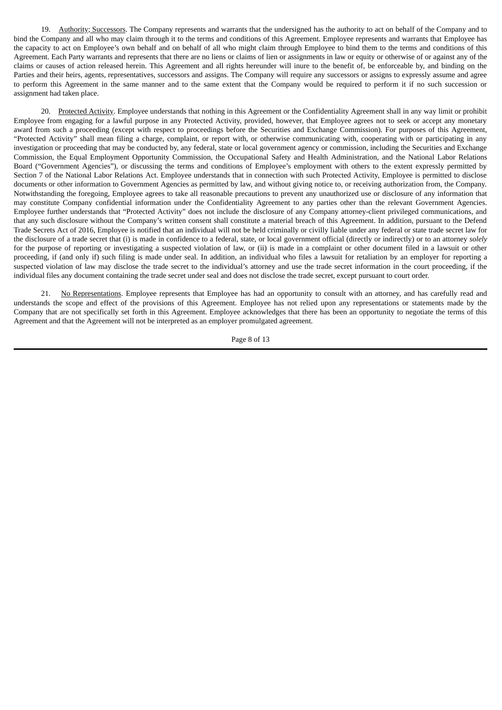19. Authority; Successors. The Company represents and warrants that the undersigned has the authority to act on behalf of the Company and to bind the Company and all who may claim through it to the terms and conditions of this Agreement. Employee represents and warrants that Employee has the capacity to act on Employee's own behalf and on behalf of all who might claim through Employee to bind them to the terms and conditions of this Agreement. Each Party warrants and represents that there are no liens or claims of lien or assignments in law or equity or otherwise of or against any of the claims or causes of action released herein. This Agreement and all rights hereunder will inure to the benefit of, be enforceable by, and binding on the Parties and their heirs, agents, representatives, successors and assigns. The Company will require any successors or assigns to expressly assume and agree to perform this Agreement in the same manner and to the same extent that the Company would be required to perform it if no such succession or assignment had taken place.

20. Protected Activity. Employee understands that nothing in this Agreement or the Confidentiality Agreement shall in any way limit or prohibit Employee from engaging for a lawful purpose in any Protected Activity, provided, however, that Employee agrees not to seek or accept any monetary award from such a proceeding (except with respect to proceedings before the Securities and Exchange Commission). For purposes of this Agreement, "Protected Activity" shall mean filing a charge, complaint, or report with, or otherwise communicating with, cooperating with or participating in any investigation or proceeding that may be conducted by, any federal, state or local government agency or commission, including the Securities and Exchange Commission, the Equal Employment Opportunity Commission, the Occupational Safety and Health Administration, and the National Labor Relations Board ("Government Agencies"), or discussing the terms and conditions of Employee's employment with others to the extent expressly permitted by Section 7 of the National Labor Relations Act. Employee understands that in connection with such Protected Activity, Employee is permitted to disclose documents or other information to Government Agencies as permitted by law, and without giving notice to, or receiving authorization from, the Company. Notwithstanding the foregoing, Employee agrees to take all reasonable precautions to prevent any unauthorized use or disclosure of any information that may constitute Company confidential information under the Confidentiality Agreement to any parties other than the relevant Government Agencies. Employee further understands that "Protected Activity" does not include the disclosure of any Company attorney-client privileged communications, and that any such disclosure without the Company's written consent shall constitute a material breach of this Agreement. In addition, pursuant to the Defend Trade Secrets Act of 2016, Employee is notified that an individual will not be held criminally or civilly liable under any federal or state trade secret law for the disclosure of a trade secret that (i) is made in confidence to a federal, state, or local government official (directly or indirectly) or to an attorney *solely* for the purpose of reporting or investigating a suspected violation of law, or (ii) is made in a complaint or other document filed in a lawsuit or other proceeding, if (and only if) such filing is made under seal. In addition, an individual who files a lawsuit for retaliation by an employer for reporting a suspected violation of law may disclose the trade secret to the individual's attorney and use the trade secret information in the court proceeding, if the individual files any document containing the trade secret under seal and does not disclose the trade secret, except pursuant to court order.

21. No Representations. Employee represents that Employee has had an opportunity to consult with an attorney, and has carefully read and understands the scope and effect of the provisions of this Agreement. Employee has not relied upon any representations or statements made by the Company that are not specifically set forth in this Agreement. Employee acknowledges that there has been an opportunity to negotiate the terms of this Agreement and that the Agreement will not be interpreted as an employer promulgated agreement.

Page 8 of 13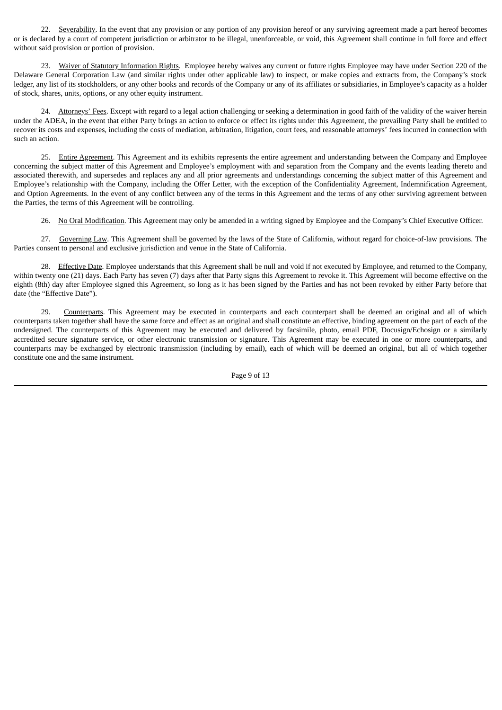22. Severability. In the event that any provision or any portion of any provision hereof or any surviving agreement made a part hereof becomes or is declared by a court of competent jurisdiction or arbitrator to be illegal, unenforceable, or void, this Agreement shall continue in full force and effect without said provision or portion of provision.

23. Waiver of Statutory Information Rights. Employee hereby waives any current or future rights Employee may have under Section 220 of the Delaware General Corporation Law (and similar rights under other applicable law) to inspect, or make copies and extracts from, the Company's stock ledger, any list of its stockholders, or any other books and records of the Company or any of its affiliates or subsidiaries, in Employee's capacity as a holder of stock, shares, units, options, or any other equity instrument.

24. Attorneys' Fees. Except with regard to a legal action challenging or seeking a determination in good faith of the validity of the waiver herein under the ADEA, in the event that either Party brings an action to enforce or effect its rights under this Agreement, the prevailing Party shall be entitled to recover its costs and expenses, including the costs of mediation, arbitration, litigation, court fees, and reasonable attorneys' fees incurred in connection with such an action.

25. Entire Agreement. This Agreement and its exhibits represents the entire agreement and understanding between the Company and Employee concerning the subject matter of this Agreement and Employee's employment with and separation from the Company and the events leading thereto and associated therewith, and supersedes and replaces any and all prior agreements and understandings concerning the subject matter of this Agreement and Employee's relationship with the Company, including the Offer Letter, with the exception of the Confidentiality Agreement, Indemnification Agreement, and Option Agreements. In the event of any conflict between any of the terms in this Agreement and the terms of any other surviving agreement between the Parties, the terms of this Agreement will be controlling.

26. No Oral Modification. This Agreement may only be amended in a writing signed by Employee and the Company's Chief Executive Officer.

27. Governing Law. This Agreement shall be governed by the laws of the State of California, without regard for choice-of-law provisions. The Parties consent to personal and exclusive jurisdiction and venue in the State of California.

28. Effective Date. Employee understands that this Agreement shall be null and void if not executed by Employee, and returned to the Company, within twenty one (21) days. Each Party has seven (7) days after that Party signs this Agreement to revoke it. This Agreement will become effective on the eighth (8th) day after Employee signed this Agreement, so long as it has been signed by the Parties and has not been revoked by either Party before that date (the "Effective Date").

29. Counterparts. This Agreement may be executed in counterparts and each counterpart shall be deemed an original and all of which counterparts taken together shall have the same force and effect as an original and shall constitute an effective, binding agreement on the part of each of the undersigned. The counterparts of this Agreement may be executed and delivered by facsimile, photo, email PDF, Docusign/Echosign or a similarly accredited secure signature service, or other electronic transmission or signature. This Agreement may be executed in one or more counterparts, and counterparts may be exchanged by electronic transmission (including by email), each of which will be deemed an original, but all of which together constitute one and the same instrument.

Page 9 of 13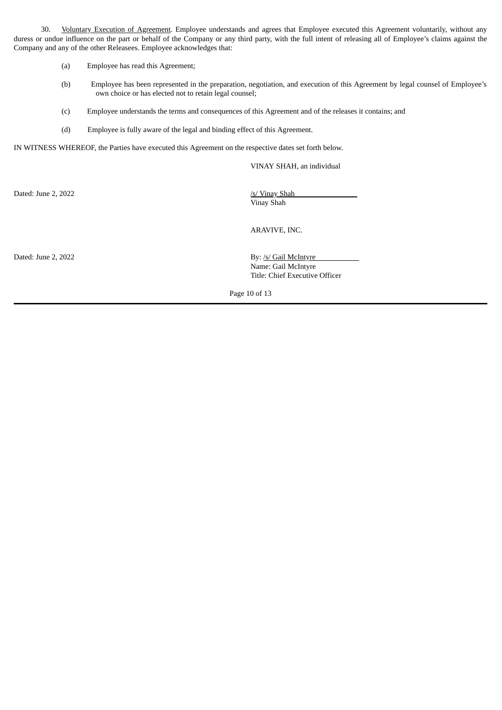30. Voluntary Execution of Agreement. Employee understands and agrees that Employee executed this Agreement voluntarily, without any duress or undue influence on the part or behalf of the Company or any third party, with the full intent of releasing all of Employee's claims against the Company and any of the other Releasees. Employee acknowledges that:

- (a) Employee has read this Agreement;
- (b) Employee has been represented in the preparation, negotiation, and execution of this Agreement by legal counsel of Employee's own choice or has elected not to retain legal counsel;
- (c) Employee understands the terms and consequences of this Agreement and of the releases it contains; and
- (d) Employee is fully aware of the legal and binding effect of this Agreement.

IN WITNESS WHEREOF, the Parties have executed this Agreement on the respective dates set forth below.

VINAY SHAH, an individual

Dated: June 2, 2022 /s/ Vinay Shah

Vinay Shah

ARAVIVE, INC.

Dated: June 2, 2022 By: /s/ Gail McIntyre Name: Gail McIntyre Title: Chief Executive Officer

Page 10 of 13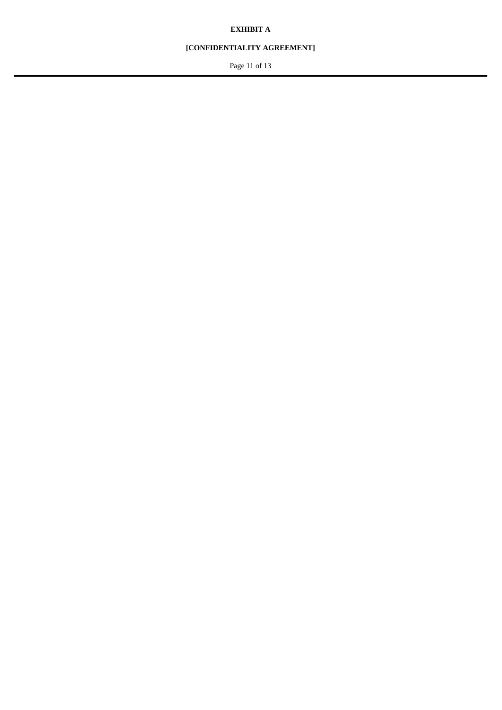# **EXHIBIT A**

# **[CONFIDENTIALITY AGREEMENT]**

Page 11 of 13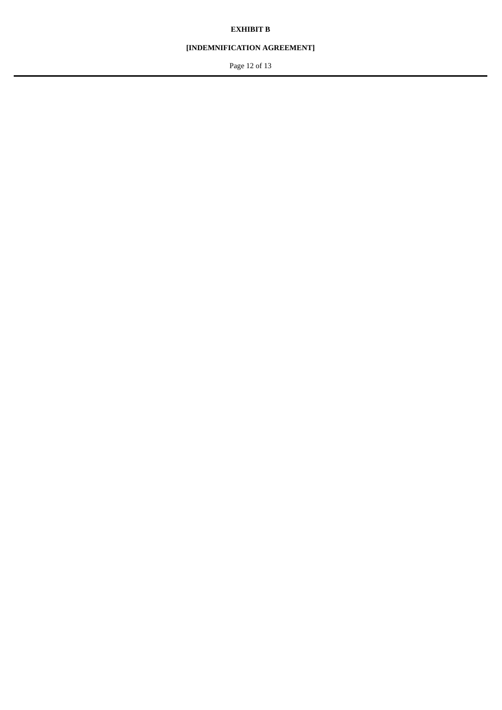# **EXHIBIT B**

# **[INDEMNIFICATION AGREEMENT]**

Page 12 of 13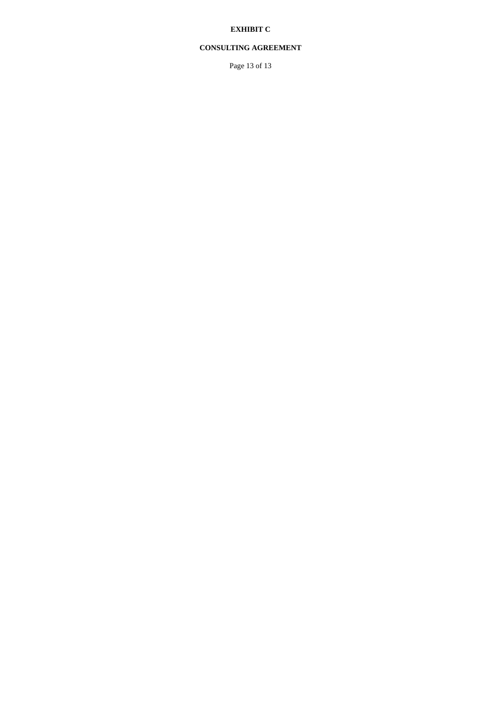# **EXHIBIT C**

# **CONSULTING AGREEMENT**

Page 13 of 13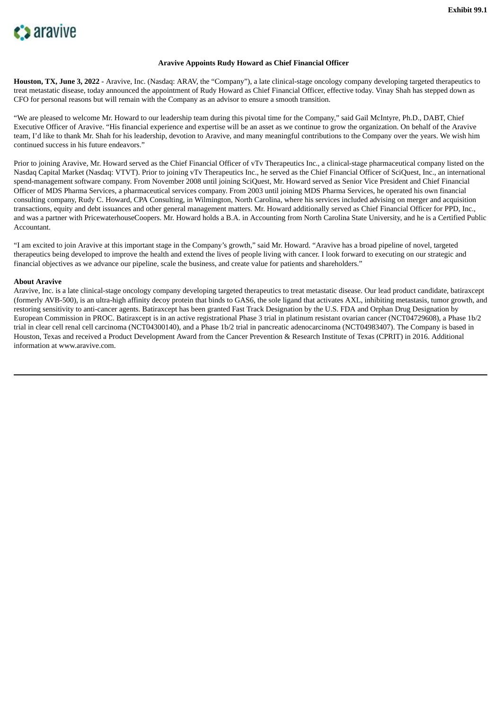<span id="page-42-0"></span>

#### **Aravive Appoints Rudy Howard as Chief Financial Officer**

**Houston, TX, June 3, 2022** - Aravive, Inc. (Nasdaq: ARAV, the "Company"), a late clinical-stage oncology company developing targeted therapeutics to treat metastatic disease, today announced the appointment of Rudy Howard as Chief Financial Officer, effective today. Vinay Shah has stepped down as CFO for personal reasons but will remain with the Company as an advisor to ensure a smooth transition.

"We are pleased to welcome Mr. Howard to our leadership team during this pivotal time for the Company," said Gail McIntyre, Ph.D., DABT, Chief Executive Officer of Aravive. "His financial experience and expertise will be an asset as we continue to grow the organization. On behalf of the Aravive team, I'd like to thank Mr. Shah for his leadership, devotion to Aravive, and many meaningful contributions to the Company over the years. We wish him continued success in his future endeavors."

Prior to joining Aravive, Mr. Howard served as the Chief Financial Officer of vTv Therapeutics Inc., a clinical-stage pharmaceutical company listed on the Nasdaq Capital Market (Nasdaq: VTVT). Prior to joining vTv Therapeutics Inc., he served as the Chief Financial Officer of SciQuest, Inc., an international spend-management software company. From November 2008 until joining SciQuest, Mr. Howard served as Senior Vice President and Chief Financial Officer of MDS Pharma Services, a pharmaceutical services company. From 2003 until joining MDS Pharma Services, he operated his own financial consulting company, Rudy C. Howard, CPA Consulting, in Wilmington, North Carolina, where his services included advising on merger and acquisition transactions, equity and debt issuances and other general management matters. Mr. Howard additionally served as Chief Financial Officer for PPD, Inc., and was a partner with PricewaterhouseCoopers. Mr. Howard holds a B.A. in Accounting from North Carolina State University, and he is a Certified Public Accountant.

"I am excited to join Aravive at this important stage in the Company's growth," said Mr. Howard. "Aravive has a broad pipeline of novel, targeted therapeutics being developed to improve the health and extend the lives of people living with cancer. I look forward to executing on our strategic and financial objectives as we advance our pipeline, scale the business, and create value for patients and shareholders."

#### **About Aravive**

Aravive, Inc. is a late clinical-stage oncology company developing targeted therapeutics to treat metastatic disease. Our lead product candidate, batiraxcept (formerly AVB-500), is an ultra-high affinity decoy protein that binds to GAS6, the sole ligand that activates AXL, inhibiting metastasis, tumor growth, and restoring sensitivity to anti-cancer agents. Batiraxcept has been granted Fast Track Designation by the U.S. FDA and Orphan Drug Designation by European Commission in PROC. Batiraxcept is in an active registrational Phase 3 trial in platinum resistant ovarian cancer (NCT04729608), a Phase 1b/2 trial in clear cell renal cell carcinoma (NCT04300140), and a Phase 1b/2 trial in pancreatic adenocarcinoma (NCT04983407). The Company is based in Houston, Texas and received a Product Development Award from the Cancer Prevention & Research Institute of Texas (CPRIT) in 2016. Additional information at www.aravive.com.